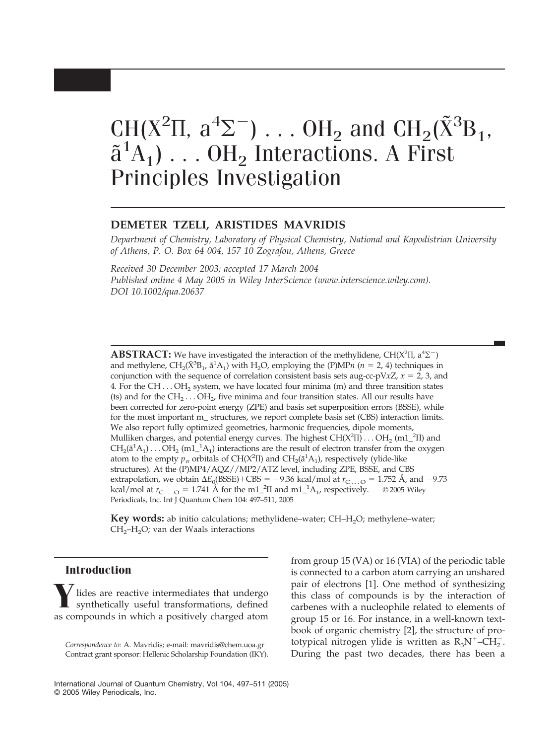# CH(X<sup>2</sup>II,  $a^4\Sigma^-$ ) ... OH<sub>2</sub> and CH<sub>2</sub>( $\tilde{X}^3B_1$ ,  $\tilde{a}^{1}A_{1}$ ) . . . OH<sub>2</sub> Interactions. A First Principles Investigation

## **DEMETER TZELI, ARISTIDES MAVRIDIS**

*Department of Chemistry, Laboratory of Physical Chemistry, National and Kapodistrian University of Athens, P. O. Box 64 004, 157 10 Zografou, Athens, Greece*

*Received 30 December 2003; accepted 17 March 2004 Published online 4 May 2005 in Wiley InterScience (www.interscience.wiley.com). DOI 10.1002/qua.20637*

**ABSTRACT:** We have investigated the interaction of the methylidene,  $CH(X^2\Pi, a^4\Sigma^-)$ and methylene,  $CH_2(\tilde{X}^3B_1, \tilde{a}^1A_1)$  with  $H_2O$ , employing the (P)MP*n* (*n* = 2, 4) techniques in conjunction with the sequence of correlation consistent basis sets aug-cc-pV $xZ$ ,  $x = 2$ , 3, and 4. For the CH  $\dots$  OH<sub>2</sub> system, we have located four minima (m) and three transition states (ts) and for the  $CH_2 \ldots OH_2$ , five minima and four transition states. All our results have been corrected for zero-point energy (ZPE) and basis set superposition errors (BSSE), while for the most important m\_ structures, we report complete basis set (CBS) interaction limits. We also report fully optimized geometries, harmonic frequencies, dipole moments, Mulliken charges, and potential energy curves. The highest  $CH(X^2II) \dots OH_2$  (m1\_<sup>2</sup>II) and  $CH_2(\tilde{a}^1A_1)...OH_2$  (m1\_<sup>1</sup>A<sub>1</sub>) interactions are the result of electron transfer from the oxygen atom to the empty  $p_{\pi}$  orbitals of CH(X<sup>2</sup>II) and CH<sub>2</sub>( $\tilde{a}^1A_1$ ), respectively (ylide-like structures). At the (P)MP4/AQZ//MP2/ATZ level, including ZPE, BSSE, and CBS extrapolation, we obtain  $\Delta E_0(BSSE) + CBS = -9.36$  kcal/mol at  $r_{\text{C}}$ ...  $\Omega = 1.752$  Å, and -9.73 kcal/mol at  $r_{\text{C...O}} = 1.741 \text{ Å}$  for the m1\_<sup>2</sup>II and m1\_<sup>1</sup>A<sub>1</sub>, respectively. © 2005 Wiley Periodicals, Inc. Int J Quantum Chem 104: 497–511, 2005

**Key words:** ab initio calculations; methylidene–water; CH–H<sub>2</sub>O; methylene–water;  $CH<sub>2</sub>–H<sub>2</sub>O$ ; van der Waals interactions

## **Introduction**

**Y**lides are reactive intermediates that undergo synthetically useful transformations, defined as compounds in which a positively charged atom

*Correspondence to:* A. Mavridis; e-mail: mavridis@chem.uoa.gr Contract grant sponsor: Hellenic Scholarship Foundation (IKY). from group 15 (VA) or 16 (VIA) of the periodic table is connected to a carbon atom carrying an unshared pair of electrons [1]. One method of synthesizing this class of compounds is by the interaction of carbenes with a nucleophile related to elements of group 15 or 16. For instance, in a well-known textbook of organic chemistry [2], the structure of prototypical nitrogen ylide is written as  $R_3N^+$ -CH<sub>2</sub>. During the past two decades, there has been a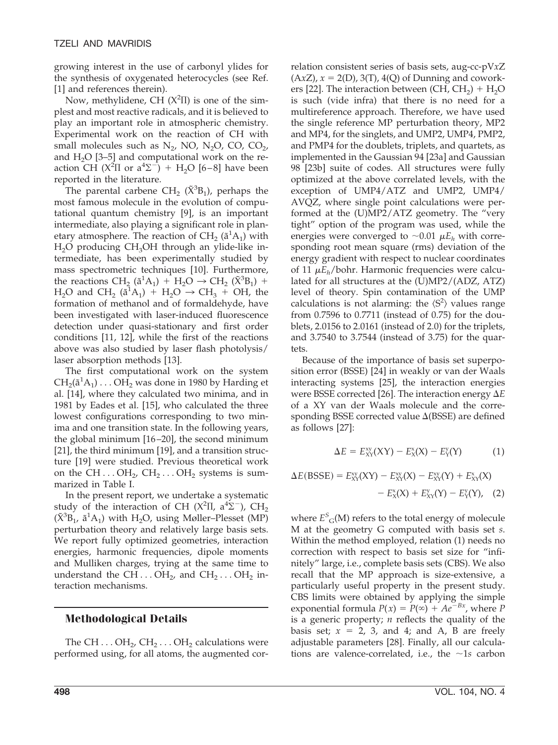growing interest in the use of carbonyl ylides for the synthesis of oxygenated heterocycles (see Ref. [1] and references therein).

Now, methylidene, CH  $(X^2\Pi)$  is one of the simplest and most reactive radicals, and it is believed to play an important role in atmospheric chemistry. Experimental work on the reaction of CH with small molecules such as  $N_2$ , NO, N<sub>2</sub>O, CO, CO<sub>2</sub>, and  $H<sub>2</sub>O$  [3–5] and computational work on the reaction CH  $(X^2\Pi$  or  $a^4\Sigma^{-})$  + H<sub>2</sub>O [6–8] have been reported in the literature.

The parental carbene  $CH_2$  ( $\tilde{X}^3B_1$ ), perhaps the most famous molecule in the evolution of computational quantum chemistry [9], is an important intermediate, also playing a significant role in planetary atmosphere. The reaction of  $CH_2(\tilde{a}^1A_1)$  with  $H_2O$  producing  $CH_3OH$  through an ylide-like intermediate, has been experimentally studied by mass spectrometric techniques [10]. Furthermore, the reactions  $CH_2(\tilde{a}^1A_1) + H_2O \rightarrow CH_2(\tilde{X}^3B_1) +$  $H_2O$  and  $CH_2$  ( $\tilde{a}^T A_1$ ) +  $H_2O \rightarrow CH_3$  + OH, the formation of methanol and of formaldehyde, have been investigated with laser-induced fluorescence detection under quasi-stationary and first order conditions [11, 12], while the first of the reactions above was also studied by laser flash photolysis/ laser absorption methods [13].

The first computational work on the system  $\mathrm{CH}_2(\tilde{\mathrm{a}}^1\mathrm{A}_1)\ldots\mathrm{OH}_2$  was done in 1980 by Harding et al. [14], where they calculated two minima, and in 1981 by Eades et al. [15], who calculated the three lowest configurations corresponding to two minima and one transition state. In the following years, the global minimum [16 –20], the second minimum [21], the third minimum [19], and a transition structure [19] were studied. Previous theoretical work on the CH . . .  $OH_2$ ,  $CH_2$  . . .  $OH_2$  systems is summarized in Table I.

In the present report, we undertake a systematic study of the interaction of CH ( $X^2\Pi$ ,  $a^4\Sigma^-$ ), CH<sub>2</sub>  $(\tilde{X}^3B_1, \tilde{a}^1A_1)$  with H<sub>2</sub>O, using Møller–Plesset (MP) perturbation theory and relatively large basis sets. We report fully optimized geometries, interaction energies, harmonic frequencies, dipole moments and Mulliken charges, trying at the same time to understand the CH . . . OH<sub>2</sub>, and CH<sub>2</sub> . . . OH<sub>2</sub> interaction mechanisms.

## **Methodological Details**

The CH  $\dots$  OH<sub>2</sub>, CH<sub>2</sub>  $\dots$  OH<sub>2</sub> calculations were performed using, for all atoms, the augmented correlation consistent series of basis sets, aug-cc-pV*x*Z  $(AxZ)$ ,  $x = 2(D)$ ,  $3(T)$ ,  $4(Q)$  of Dunning and coworkers [22]. The interaction between  $(CH, CH_2) + H_2O$ is such (vide infra) that there is no need for a multireference approach. Therefore, we have used the single reference MP perturbation theory, MP2 and MP4, for the singlets, and UMP2, UMP4, PMP2, and PMP4 for the doublets, triplets, and quartets, as implemented in the Gaussian 94 [23a] and Gaussian 98 [23b] suite of codes. All structures were fully optimized at the above correlated levels, with the exception of UMP4/ATZ and UMP2, UMP4/ AVQZ, where single point calculations were performed at the (U)MP2/ATZ geometry. The "very tight" option of the program was used, while the energies were converged to  ${\sim}0.01$   $\mu E_h$  with corresponding root mean square (rms) deviation of the energy gradient with respect to nuclear coordinates of 11  $\mu E_h$ /bohr. Harmonic frequencies were calculated for all structures at the (U)MP2/(ADZ, ATZ) level of theory. Spin contamination of the UMP calculations is not alarming: the  $\langle S^2 \rangle$  values range from 0.7596 to 0.7711 (instead of 0.75) for the doublets, 2.0156 to 2.0161 (instead of 2.0) for the triplets, and 3.7540 to 3.7544 (instead of 3.75) for the quartets.

Because of the importance of basis set superposition error (BSSE) [24] in weakly or van der Waals interacting systems [25], the interaction energies were BSSE corrected [26]. The interaction energy  $\Delta E$ of a XY van der Waals molecule and the corresponding BSSE corrected value  $\Delta$ (BSSE) are defined as follows [27]:

$$
\Delta E = E_{XX}^{xy}(XY) - E_X^x(X) - E_Y^y(Y) \tag{1}
$$

$$
\Delta E(BSSE) = E_{XX}^{xy}(XY) - E_{XX}^{xy}(X) - E_{XX}^{xy}(Y) + E_{XX}^{x}(X) - E_{XX}^{x}(X) + E_{XX}^{y}(Y) - E_{Y}^{y}(Y), \quad (2)
$$

where  $E_{\ G}^{S}(M)$  refers to the total energy of molecule M at the geometry G computed with basis set *s*. Within the method employed, relation (1) needs no correction with respect to basis set size for "infinitely" large, i.e., complete basis sets (CBS). We also recall that the MP approach is size-extensive, a particularly useful property in the present study. CBS limits were obtained by applying the simple exponential formula  $P(x) = P(\infty) + Ae^{-Bx}$ , where *P* is a generic property; *n* reflects the quality of the basis set;  $x = 2$ , 3, and 4; and A, B are freely adjustable parameters [28]. Finally, all our calculations are valence-correlated, i.e., the  $\sim$ 1*s* carbon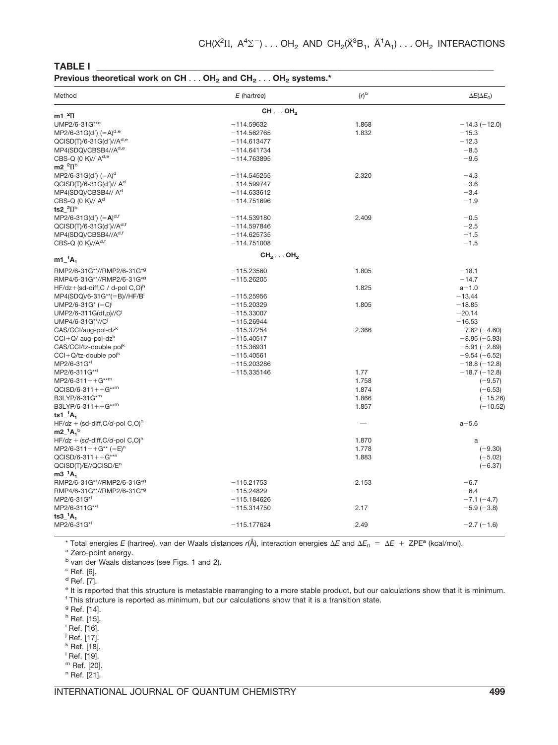#### **TABLE I \_\_\_\_\_\_\_\_\_\_\_\_\_\_\_\_\_\_\_\_\_\_\_\_\_\_\_\_\_\_\_\_\_\_\_\_\_\_\_\_\_\_\_\_\_\_\_\_\_\_\_\_\_\_\_\_\_\_\_\_\_\_\_\_\_\_\_\_\_\_\_\_\_\_\_\_\_\_\_\_\_\_\_\_\_\_\_\_\_\_\_\_\_\_**

## **Previous theoretical work on CH ... OH<sub>2</sub> and CH<sub>2</sub>... OH<sub>2</sub> systems.<sup>\*</sup>**

| Method                                                      | $E$ (hartree)                   | $\{r\}^{\text{b}}$ | $\Delta E(\Delta E_0)$ |
|-------------------------------------------------------------|---------------------------------|--------------------|------------------------|
| $m1$ <sup>2</sup> II                                        | $CH \ldots OH2$                 |                    |                        |
| UMP2/6-31G** <sup>c</sup>                                   | $-114.59632$                    | 1.868              | $-14.3(-12.0)$         |
| $MP2/6-31G(d') (=A)d,e$                                     | $-114.562765$                   | 1.832              | $-15.3$                |
| $QCISD(T)/6-31G(d')//Ad,e$                                  | $-114.613477$                   |                    | $-12.3$                |
|                                                             | $-114.641734$                   |                    | $-8.5$                 |
| MP4(SDQ)/CBSB4//A <sup>d,e</sup><br>CBS-Q (0 K)// $A^{d,e}$ | $-114.763895$                   |                    | $-9.6$                 |
|                                                             |                                 |                    |                        |
| m2 $^{2}$ T <sup>b</sup>                                    |                                 |                    |                        |
| $MP2/6-31G(d') (=A)d$                                       | $-114.545255$                   | 2.320              | $-4.3$                 |
| QCISD(T)/6-31G(d')// A <sup>d</sup>                         | $-114.599747$                   |                    | $-3.6$                 |
| MP4(SDQ)/CBSB4// A <sup>d</sup>                             | $-114.633612$                   |                    | $-3.4$                 |
| $CBS-Q$ (0 K)// $Ad$                                        | $-114.751696$                   |                    | $-1.9$                 |
| ts2 $^2\Pi^b$                                               |                                 |                    |                        |
| MP2/6-31G(d') $(=A)^{d,f}$                                  | $-114.539180$                   | 2.409              | $-0.5$                 |
| $QCISD(T)/6-31G(d')//A^{d,f}$                               | $-114.597846$                   |                    | $-2.5$                 |
| MP4(SDQ)/CBSB4//A <sup>d,f</sup>                            | $-114.625735$                   |                    | $+1.5$                 |
| $CBS-Q$ (0 K)// $A^{d,f}$                                   | $-114.751008$                   |                    | $-1.5$                 |
| $m1-1A1$                                                    | CH <sub>2</sub> OH <sub>2</sub> |                    |                        |
| RMP2/6-31G**//RMP2/6-31G*9                                  | $-115.23560$                    | 1.805              | $-18.1$                |
| RMP4/6-31G**//RMP2/6-31G*9                                  | $-115.26205$                    |                    | $-14.7$                |
| $HF/dz + (sd-diff,C / d-pol C,0)^h$                         |                                 | 1.825              | $a+1.0$                |
| MP4(SDQ)/6-31G**(=B)//HF/B <sup>i</sup>                     | $-115.25956$                    |                    | $-13.44$               |
| UMP2/6-31G* $(=C)^{j}$                                      | $-115.20329$                    | 1.805              | $-18.85$               |
| $UMP2/6-311G(df,p)/Cj$                                      | $-115.33007$                    |                    | $-20.14$               |
| UMP4/6-31G**//C                                             | $-115.26944$                    |                    | $-16.53$               |
| CAS/CCI/aug-pol-dz <sup>k</sup>                             | $-115.37254$                    | 2.366              | $-7.62(-4.60)$         |
| $CCl + Q$ aug-pol-dz <sup>k</sup>                           | $-115.40517$                    |                    | $-8.95(-5.93)$         |
| CAS/CCI/tz-double pol <sup>k</sup>                          | $-115.36931$                    |                    | $-5.91(-2.89)$         |
| $CCI + Q/tz$ -double pol <sup>k</sup>                       | $-115.40561$                    |                    | $-9.54(-6.52)$         |
| MP2/6-31G*                                                  | $-115.203286$                   |                    | $-18.8(-12.8)$         |
| MP2/6-311G**                                                | $-115.335146$                   | 1.77               | $-18.7(-12.8)$         |
|                                                             |                                 | 1.758              |                        |
| $MP2/6-311++G***$                                           |                                 |                    | $(-9.57)$              |
| $QCISD/6-311++G^{**m}$                                      |                                 | 1.874              | $(-6.53)$              |
| B3LYP/6-31G*m                                               |                                 | 1.866              | $(-15.26)$             |
| B3LYP/6-311++ $G^{*rm}$                                     |                                 | 1.857              | $(-10.52)$             |
| $ts1-1A1$                                                   |                                 |                    |                        |
| $HF/dz + (sd-diff,C/d-pol C,0)^h$<br>$m2_{-}^{1}A_{1}^{b}$  |                                 |                    | $a + 5.6$              |
| $HF/dz + (sd\text{-diff}, C/d\text{-pol}, C, O)^n$          |                                 | 1.870              | a                      |
| $MP2/6-311++G** (=E)n$                                      |                                 | 1.778              | $(-9.30)$              |
| $QCISD/6-311++G***n$                                        |                                 | 1.883              | $(-5.02)$              |
|                                                             |                                 |                    |                        |
| QCISD(T)/E//QCISD/E <sup>n</sup>                            |                                 |                    | $(-6.37)$              |
| $m3-1A1$                                                    |                                 |                    |                        |
| RMP2/6-31G**//RMP2/6-31G*9                                  | $-115.21753$                    | 2.153              | $-6.7$                 |
| RMP4/6-31G**//RMP2/6-31G*9                                  | $-115.24829$                    |                    | $-6.4$                 |
| MP2/6-31G*                                                  | $-115.184626$                   |                    | $-7.1(-4.7)$           |
| MP2/6-311G**                                                | $-115.314750$                   | 2.17               | $-5.9(-3.8)$           |
| $ts3 \, 1A_1$<br>MP2/6-31G*                                 | $-115.177624$                   | 2.49               | $-2.7(-1.6)$           |
|                                                             |                                 |                    |                        |

\* Total energies *E* (hartree), van der Waals distances  $r(A)$ , interaction energies  $\Delta E$  and  $\Delta E_0 = \Delta E + ZPE^a$  (kcal/mol). <br><sup>a</sup> Zero-point energy.

**b** van der Waals distances (see Figs. 1 and 2).

 $c$  Ref. [6].

 $d$  Ref. [7].

<sup>e</sup> It is reported that this structure is metastable rearranging to a more stable product, but our calculations show that it is minimum.  $<sup>f</sup>$  This structure is reported as minimum, but our calculations show that it is a transition state.</sup>

<sup>g</sup> Ref. [14].

<sup>h</sup> Ref. [15].

- i Ref. [16].
- <sup>j</sup> Ref. [17].

<sup>k</sup> Ref. [18].

- l Ref. [19].
- <sup>m</sup> Ref. [20].

<sup>n</sup> Ref. [21].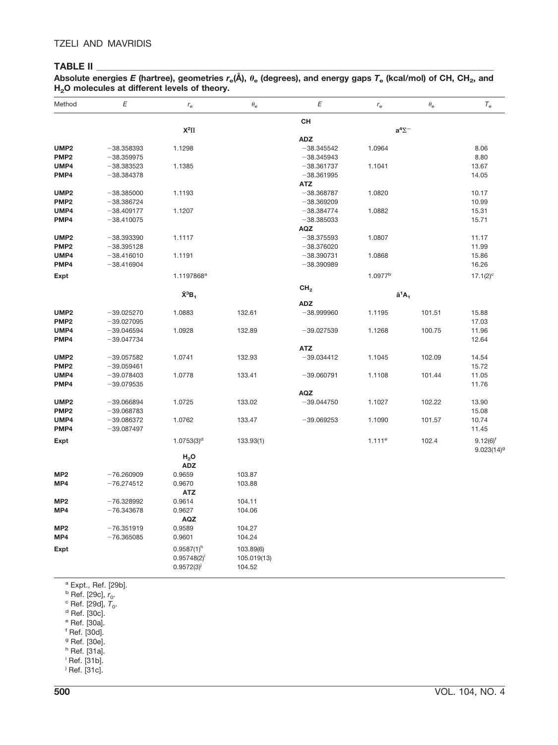## **TABLE II \_\_\_\_\_\_\_\_\_\_\_\_\_\_\_\_\_\_\_\_\_\_\_\_\_\_\_\_\_\_\_\_\_\_\_\_\_\_\_\_\_\_\_\_\_\_\_\_\_\_\_\_\_\_\_\_\_\_\_\_\_\_\_\_\_\_\_\_\_\_\_\_\_\_\_\_\_\_\_\_\_\_\_\_\_\_\_\_\_\_\_\_\_\_**

Absolute energies *E* (hartree), geometries  $r_e(\hat{A})$ ,  $\theta_e$  (degrees), and energy gaps  $T_e$  (kcal/mol) of CH, CH<sub>2</sub>, and **H2O molecules at different levels of theory.**

| Method                   | $\boldsymbol{\mathit{E}}$    | $r_{\rm e}$            | $\theta_{\rm e}$ | $\boldsymbol{\mathsf{E}}$    | $r_{\rm e}$         | $\theta_{\rm e}$ | $T_{\rm e}$                      |
|--------------------------|------------------------------|------------------------|------------------|------------------------------|---------------------|------------------|----------------------------------|
|                          |                              |                        |                  | CH                           |                     |                  |                                  |
|                          |                              | $X^2\Pi$               |                  |                              | $a^4\Sigma^-$       |                  |                                  |
|                          |                              |                        |                  | <b>ADZ</b>                   |                     |                  |                                  |
| UMP <sub>2</sub>         | $-38.358393$                 | 1.1298                 |                  | $-38.345542$                 | 1.0964              |                  | 8.06                             |
| PMP <sub>2</sub><br>UMP4 | $-38.359975$                 |                        |                  | $-38.345943$<br>$-38.361737$ |                     |                  | 8.80<br>13.67                    |
| PMP4                     | $-38.383523$<br>$-38.384378$ | 1.1385                 |                  | $-38.361995$                 | 1.1041              |                  | 14.05                            |
|                          |                              |                        |                  | <b>ATZ</b>                   |                     |                  |                                  |
| UMP <sub>2</sub>         | $-38.385000$                 | 1.1193                 |                  | $-38.368787$                 | 1.0820              |                  | 10.17                            |
| PMP <sub>2</sub>         | $-38.386724$                 |                        |                  | $-38.369209$                 |                     |                  | 10.99                            |
| UMP4                     | $-38.409177$                 | 1.1207                 |                  | $-38.384774$                 | 1.0882              |                  | 15.31                            |
| PMP4                     | $-38.410075$                 |                        |                  | $-38.385033$                 |                     |                  | 15.71                            |
|                          |                              |                        |                  | <b>AQZ</b>                   |                     |                  |                                  |
| UMP <sub>2</sub>         | $-38.393390$                 | 1.1117                 |                  | $-38.375593$                 | 1.0807              |                  | 11.17                            |
| PMP <sub>2</sub>         | $-38.395128$                 |                        |                  | $-38.376020$                 |                     |                  | 11.99                            |
| UMP4                     | $-38.416010$                 | 1.1191                 |                  | $-38.390731$                 | 1.0868              |                  | 15.86                            |
| PMP4                     | $-38.416904$                 |                        |                  | $-38.390989$                 |                     |                  | 16.26                            |
| Expt                     |                              | 1.1197868 <sup>a</sup> |                  |                              | 1.0977 <sup>b</sup> |                  | $17.1(2)^c$                      |
|                          |                              |                        |                  | CH <sub>2</sub>              |                     |                  |                                  |
|                          |                              | $ilde{X}^3B_1$         |                  |                              | $\tilde{a}^1A_1$    |                  |                                  |
|                          |                              |                        |                  | <b>ADZ</b>                   |                     |                  |                                  |
| UMP <sub>2</sub>         | $-39.025270$                 | 1.0883                 | 132.61           | $-38.999960$                 | 1.1195              | 101.51           | 15.88                            |
| PMP <sub>2</sub>         | $-39.027095$                 |                        |                  |                              |                     |                  | 17.03                            |
| UMP4                     | $-39.046594$                 | 1.0928                 | 132.89           | $-39.027539$                 | 1.1268              | 100.75           | 11.96                            |
| PMP4                     | $-39.047734$                 |                        |                  | <b>ATZ</b>                   |                     |                  | 12.64                            |
| UMP <sub>2</sub>         | $-39.057582$                 | 1.0741                 | 132.93           | $-39.034412$                 | 1.1045              | 102.09           | 14.54                            |
| PMP <sub>2</sub>         | $-39.059461$                 |                        |                  |                              |                     |                  | 15.72                            |
| UMP4                     | $-39.078403$                 | 1.0778                 | 133.41           | $-39.060791$                 | 1.1108              | 101.44           | 11.05                            |
| PMP4                     | $-39.079535$                 |                        |                  |                              |                     |                  | 11.76                            |
|                          |                              |                        |                  | <b>AQZ</b>                   |                     |                  |                                  |
| UMP <sub>2</sub>         | $-39.066894$                 | 1.0725                 | 133.02           | $-39.044750$                 | 1.1027              | 102.22           | 13.90                            |
| PMP <sub>2</sub>         | $-39.068783$                 |                        |                  |                              |                     |                  | 15.08                            |
| UMP4                     | $-39.086372$                 | 1.0762                 | 133.47           | $-39.069253$                 | 1.1090              | 101.57           | 10.74                            |
| PMP4                     | $-39.087497$                 |                        |                  |                              |                     |                  | 11.45                            |
| Expt                     |                              | $1.0753(3)^d$          | 133.93(1)        |                              | 1.111e              | 102.4            | $9.12(6)^{f}$<br>$9.023(14)^{9}$ |
|                          |                              | H <sub>2</sub> O       |                  |                              |                     |                  |                                  |
|                          |                              | <b>ADZ</b>             |                  |                              |                     |                  |                                  |
| MP <sub>2</sub>          | $-76.260909$                 | 0.9659                 | 103.87           |                              |                     |                  |                                  |
| MP4                      | $-76.274512$                 | 0.9670                 | 103.88           |                              |                     |                  |                                  |
|                          |                              | <b>ATZ</b>             |                  |                              |                     |                  |                                  |
| MP <sub>2</sub>          | $-76.328992$                 | 0.9614                 | 104.11           |                              |                     |                  |                                  |
| MP4                      | $-76.343678$                 | 0.9627<br><b>AQZ</b>   | 104.06           |                              |                     |                  |                                  |
| MP <sub>2</sub>          | $-76.351919$                 | 0.9589                 | 104.27           |                              |                     |                  |                                  |
| MP4                      | $-76.365085$                 | 0.9601                 | 104.24           |                              |                     |                  |                                  |
|                          |                              | $0.9587(1)^h$          | 103.89(6)        |                              |                     |                  |                                  |
| Expt                     |                              | $0.95748(2)^{i}$       | 105.019(13)      |                              |                     |                  |                                  |
|                          |                              | $0.9572(3)^{j}$        | 104.52           |                              |                     |                  |                                  |
|                          |                              |                        |                  |                              |                     |                  |                                  |

<sup>a</sup> Expt., Ref. [29b].<br><sup>b</sup> Ref. [29c],  $r_0$ .

 $\degree$  Ref. [29d],  $\vec{\tau}_0$ .  $\degree$  Ref. [30c].

<sup>e</sup> Ref. [30a].

<sup>f</sup> Ref. [30d].

<sup>9</sup> Ref. [30e].

<sup>h</sup> Ref. [31a]<mark>.</mark><br><sup>i</sup> Ref. [31b].

<sup>j</sup> Ref. [31c].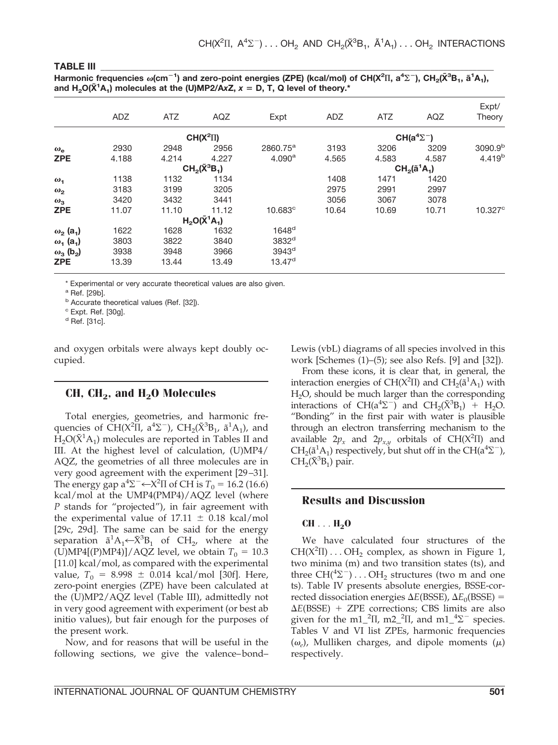| <b>TABLE III</b>                                                                                                                                                                                                                              |
|-----------------------------------------------------------------------------------------------------------------------------------------------------------------------------------------------------------------------------------------------|
| Harmonic frequencies $\omega$ (cm <sup>-1</sup> ) and zero-point energies (ZPE) (kcal/mol) of CH(X <sup>2</sup> II, a <sup>4</sup> $\Sigma$ <sup>-</sup> ), CH <sub>2</sub> (X <sup>3</sup> B <sub>1</sub> , a <sup>1</sup> A <sub>1</sub> ), |
| and H <sub>2</sub> O( $\tilde{X}$ <sup>1</sup> A <sub>1</sub> ) molecules at the (U)MP2/AxZ, $x = D$ , T, Q level of theory. <sup>*</sup>                                                                                                     |

|                              |       |       |                        |                      |       |       |                        | Expt/               |
|------------------------------|-------|-------|------------------------|----------------------|-------|-------|------------------------|---------------------|
|                              | ADZ   | ATZ   | AQZ                    | Expt                 | ADZ   | ATZ   | AQZ                    | Theory              |
|                              |       |       | CH(X <sup>2</sup> II)  |                      |       |       | $CH(a^4\Sigma^-)$      |                     |
| $\omega_{\alpha}$            | 2930  | 2948  | 2956                   | $2860.75^{\text{a}}$ | 3193  | 3206  | 3209                   | 3090.9 <sup>b</sup> |
| <b>ZPE</b>                   | 4.188 | 4.214 | 4.227                  | 4.090 <sup>a</sup>   | 4.565 | 4.583 | 4.587                  | 4.419 <sup>b</sup>  |
|                              |       |       | $CH2(\tilde{X}^{3}B1)$ |                      |       |       | $CH_2(\tilde{a}^1A_1)$ |                     |
| $\omega_1$                   | 1138  | 1132  | 1134                   |                      | 1408  | 1471  | 1420                   |                     |
| $\omega_2$                   | 3183  | 3199  | 3205                   |                      | 2975  | 2991  | 2997                   |                     |
| $\omega_3$                   | 3420  | 3432  | 3441                   |                      | 3056  | 3067  | 3078                   |                     |
| <b>ZPE</b>                   | 11.07 | 11.10 | 11.12                  | $10.683$ °           | 10.64 | 10.69 | 10.71                  | $10.327^{\circ}$    |
|                              |       |       | $H_2O(\tilde{X}^1A_1)$ |                      |       |       |                        |                     |
| $\omega_2$ (a <sub>1</sub> ) | 1622  | 1628  | 1632                   | 1648 <sup>d</sup>    |       |       |                        |                     |
| $\omega_1$ (a <sub>1</sub> ) | 3803  | 3822  | 3840                   | 3832 <sup>d</sup>    |       |       |                        |                     |
| $\omega_3$ (b <sub>2</sub> ) | 3938  | 3948  | 3966                   | 3943 <sup>d</sup>    |       |       |                        |                     |
| <b>ZPE</b>                   | 13.39 | 13.44 | 13.49                  | $13.47$ <sup>d</sup> |       |       |                        |                     |
|                              |       |       |                        |                      |       |       |                        |                     |

\* Experimental or very accurate theoretical values are also given.

 $a$  Ref. [29b].

**b** Accurate theoretical values (Ref. [32]).

<sup>c</sup> Expt. Ref. [30g].

 $<sup>d</sup>$  Ref. [31c].</sup>

and oxygen orbitals were always kept doubly occupied.

# CH,  $CH<sub>2</sub>$ , and  $H<sub>2</sub>O$  Molecules

Total energies, geometries, and harmonic frequencies of  $CH(X^2\Pi, a^4\Sigma^-)$ ,  $CH_2(\tilde{X}^3B_1, \tilde{a}^1A_1)$ , and  $\hat{H}_2O(\tilde{X}^1A_1)$  molecules are reported in Tables II and III. At the highest level of calculation, (U)MP4/ AQZ, the geometries of all three molecules are in very good agreement with the experiment [29 –31]. The energy gap a<sup>4</sup> $\Sigma^ \leftarrow$   $X^2\Pi$  of CH is  $T_0$  = 16.2 (16.6) kcal/mol at the UMP4(PMP4)/AQZ level (where *P* stands for "projected"), in fair agreement with the experimental value of  $17.11 \pm 0.18$  kcal/mol [29c, 29d]. The same can be said for the energy separation  $\tilde{a}^1 A_1 \leftarrow \tilde{X}^3 B_1$  of CH<sub>2</sub>, where at the (U)MP4[(P)MP4)]/AQZ level, we obtain  $T_0 = 10.3$ [11.0] kcal/mol, as compared with the experimental value,  $T_0 = 8.998 \pm 0.014$  kcal/mol [30f]. Here, zero-point energies (ZPE) have been calculated at the (U)MP2/AQZ level (Table III), admittedly not in very good agreement with experiment (or best ab initio values), but fair enough for the purposes of the present work.

Now, and for reasons that will be useful in the following sections, we give the valence–bond–

Lewis (vbL) diagrams of all species involved in this work [Schemes (1)–(5); see also Refs. [9] and [32]).

From these icons, it is clear that, in general, the interaction energies of CH( $X^2\Pi$ ) and CH<sub>2</sub>( $\tilde{a}^1A_1$ ) with H2O, should be much larger than the corresponding interactions of CH( $a^4\Sigma^-$ ) and CH<sub>2</sub>( $\tilde{X}^3B_1$ ) + H<sub>2</sub>O. "Bonding" in the first pair with water is plausible through an electron transferring mechanism to the available  $2p_x$  and  $2p_{x,y}$  orbitals of CH(X<sup>2</sup>II) and  $CH_2(\tilde{a}^1A_1)$  respectively, but shut off in the CH( $a^4\Sigma^-$ ),  $CH<sub>2</sub>(\tilde{X}^3B_1)$  pair.

## **Results and Discussion**

## $CH \ldots H_2O$

We have calculated four structures of the  $CH(X<sup>2</sup>II) \dots OH<sub>2</sub>$  complex, as shown in Figure 1, two minima (m) and two transition states (ts), and three  $CH(^{4}\Sigma^{-})$ ... OH<sub>2</sub> structures (two m and one ts). Table IV presents absolute energies, BSSE-corrected dissociation energies  $\Delta E(BSSE)$ ,  $\Delta E_0(BSSE)$  =  $\Delta E(BSSE)$  + ZPE corrections; CBS limits are also given for the m1\_<sup>2</sup>II, m2\_<sup>2</sup>II, and m1\_<sup>4</sup> $\Sigma^-$  species. Tables V and VI list ZPEs, harmonic frequencies  $(\omega_e)$ , Mulliken charges, and dipole moments  $(\mu)$ respectively.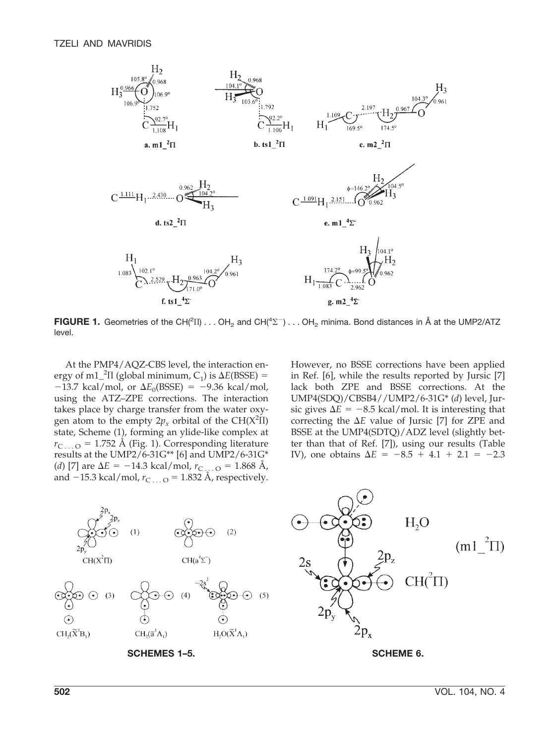

**FIGURE 1.** Geometries of the CH( $^2$ II) . . . OH<sub>2</sub> and CH( $^4\Sigma^-$ ) . . . OH<sub>2</sub> minima. Bond distances in Å at the UMP2/ATZ level.

At the PMP4/AQZ-CBS level, the interaction energy of m1<sup>2</sup>II (global minimum,  $C_1$ ) is  $\Delta E(BSSE)$  =  $-13.7$  kcal/mol, or  $\Delta E_0(BSSE) = -9.36$  kcal/mol, using the ATZ–ZPE corrections. The interaction takes place by charge transfer from the water oxygen atom to the empty  $2p_x$  orbital of the CH( $X^2$ II) state, Scheme (1), forming an ylide-like complex at  $r_{\rm C...O}$  = 1.752 Å (Fig. 1). Corresponding literature results at the UMP2/6-31G\*\* [6] and UMP2/6-31G\* (*d*) [7] are  $\Delta E = -14.3$  kcal/mol,  $r_{C_{\text{tot}} + O} = 1.868$  Å, and  $-15.3$  kcal/mol,  $r_{\text{C}... \text{O}} = 1.832$  Å, respectively.

However, no BSSE corrections have been applied in Ref. [6], while the results reported by Jursic [7] lack both ZPE and BSSE corrections. At the UMP4(SDQ)/CBSB4//UMP2/6-31G\* (*d*) level, Jursic gives  $\Delta E = -8.5$  kcal/mol. It is interesting that correcting the  $\Delta E$  value of Jursic [7] for ZPE and BSSE at the UMP4(SDTQ)/ADZ level (slightly better than that of Ref. [7]), using our results (Table IV), one obtains  $\Delta E = -8.5 + 4.1 + 2.1 = -2.3$ 

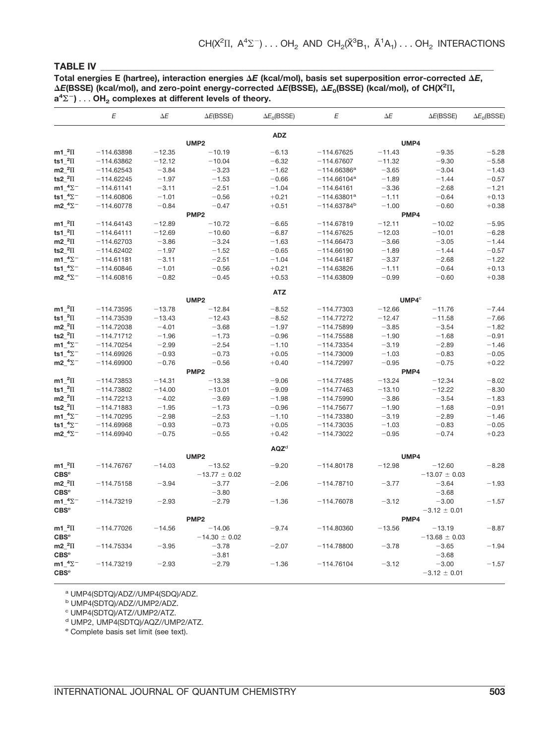#### **TABLE IV \_\_\_\_\_\_\_\_\_\_\_\_\_\_\_\_\_\_\_\_\_\_\_\_\_\_\_\_\_\_\_\_\_\_\_\_\_\_\_\_\_\_\_\_\_\_\_\_\_\_\_\_\_\_\_\_\_\_\_\_\_\_\_\_\_\_\_\_\_\_\_\_\_\_\_\_\_\_\_\_\_\_\_\_\_\_\_\_\_\_\_\_\_**

**Total energies E (hartree), interaction energies** *E* **(kcal/mol), basis set superposition error-corrected** *E***,** ΔE(BSSE) (kcal/mol), and zero-point energy-corrected ΔE(BSSE), ΔE<sub>0</sub>(BSSE) (kcal/mol), of CH(X<sup>2</sup>Π, a<sup>4</sup> $\Sigma$ <sup>-</sup>) ... OH<sub>2</sub> complexes at different levels of theory.

|                                             | E            | $\Delta E$ | $\Delta E(BSSE)$              | $\Delta E_0$ (BSSE) | E                | ΔE       | $\Delta E(BSSE)$              | $\Delta E_0$ (BSSE) |
|---------------------------------------------|--------------|------------|-------------------------------|---------------------|------------------|----------|-------------------------------|---------------------|
|                                             |              |            |                               | <b>ADZ</b>          |                  |          |                               |                     |
|                                             |              |            | UMP <sub>2</sub>              |                     |                  |          | UMP4                          |                     |
| $m1_{}^2$<br>ts1_ $2\Pi$                    | $-114.63898$ | $-12.35$   | $-10.19$                      | $-6.13$             | $-114.67625$     | $-11.43$ | $-9.35$                       | $-5.28$             |
|                                             | $-114.63862$ | $-12.12$   | $-10.04$                      | $-6.32$             | $-114.67607$     | $-11.32$ | $-9.30$                       | $-5.58$             |
| $m2_{\perp}^2\Pi$                           | $-114.62543$ | $-3.84$    | $-3.23$                       | $-1.62$             | $-114.66386^a$   | $-3.65$  | $-3.04$                       | $-1.43$             |
| ts2_ $^2\Pi$                                | $-114.62245$ | $-1.97$    | $-1.53$                       | $-0.66$             | $-114.66104^a$   | $-1.89$  | $-1.44$                       | $-0.57$             |
| $m1_2^4\Sigma^-$                            | $-114.61141$ | $-3.11$    | $-2.51$                       | $-1.04$             | $-114.64161$     | $-3.36$  | $-2.68$                       | $-1.21$             |
| ts1_ $4\Sigma^-$                            | $-114.60806$ | $-1.01$    | $-0.56$                       | $+0.21$             | $-114.63801^a$   | $-1.11$  | $-0.64$                       | $+0.13$             |
| $m242-$                                     | $-114.60778$ | $-0.84$    | $-0.47$                       | $+0.51$             | $-114.63784^{b}$ | $-1.00$  | $-0.60$                       | $+0.38$             |
|                                             |              |            | PMP <sub>2</sub>              |                     |                  |          | PMP4                          |                     |
| $m1_{-}^{2}$ II                             | $-114.64143$ | $-12.89$   | $-10.72$                      | $-6.65$             | $-114.67819$     | $-12.11$ | $-10.02$                      | $-5.95$             |
| ts1_ $^2\Pi$                                | $-114.64111$ | $-12.69$   | $-10.60$                      | $-6.87$             | $-114.67625$     | $-12.03$ | $-10.01$                      | $-6.28$             |
| $m2_{\perp}^2$ II                           | $-114.62703$ | $-3.86$    | $-3.24$                       | $-1.63$             | $-114.66473$     | $-3.66$  | $-3.05$                       | $-1.44$             |
| ts2_ $^2\Pi$                                | $-114.62402$ | $-1.97$    | $-1.52$                       | $-0.65$             | $-114.66190$     | $-1.89$  | $-1.44$                       | $-0.57$             |
| $m1_2^4\Sigma^-$                            | $-114.61181$ | $-3.11$    | $-2.51$                       | $-1.04$             | $-114.64187$     | $-3.37$  | $-2.68$                       | $-1.22$             |
| ts1_ $4\Sigma^-$                            | $-114.60846$ | $-1.01$    | $-0.56$                       | $+0.21$             | $-114.63826$     | $-1.11$  | $-0.64$                       | $+0.13$             |
| $m2_{-}^{4}\Sigma^{-}$                      | $-114.60816$ | $-0.82$    | $-0.45$                       | $+0.53$             | $-114.63809$     | $-0.99$  | $-0.60$                       | $+0.38$             |
|                                             |              |            |                               | <b>ATZ</b>          |                  |          |                               |                     |
|                                             |              |            | UMP <sub>2</sub>              |                     |                  |          | UMP4 <sup>c</sup>             |                     |
| $m1_{}^2$                                   | $-114.73595$ | $-13.78$   | $-12.84$                      | $-8.52$             | $-114.77303$     | $-12.66$ | $-11.76$                      | $-7.44$             |
| ts1_ $2\Pi$                                 | $-114.73539$ | $-13.43$   | $-12.43$                      | $-8.52$             | $-114.77272$     | $-12.47$ | $-11.58$                      | $-7.66$             |
| $m2_{\perp}^2\Pi$                           | $-114.72038$ | $-4.01$    | $-3.68$                       | $-1.97$             | $-114.75899$     | $-3.85$  | $-3.54$                       | $-1.82$             |
| ts2_ $^2\Pi$                                | $-114.71712$ | $-1.96$    | $-1.73$                       | $-0.96$             | $-114.75588$     | $-1.90$  | $-1.68$                       | $-0.91$             |
| $m1_{-}4\Sigma^{-}$                         | $-114.70254$ | $-2.99$    | $-2.54$                       | $-1.10$             | $-114.73354$     | $-3.19$  | $-2.89$                       | $-1.46$             |
| ts1_ $4\Sigma^-$                            | $-114.69926$ | $-0.93$    | $-0.73$                       | $+0.05$             | $-114.73009$     | $-1.03$  | $-0.83$                       | $-0.05$             |
| $m242-$                                     | $-114.69900$ | $-0.76$    | $-0.56$                       | $+0.40$             | $-114.72997$     | $-0.95$  | $-0.75$                       | $+0.22$             |
|                                             |              |            | PMP <sub>2</sub>              |                     |                  |          | PMP4                          |                     |
| $m1$ <sup>2</sup> $\Pi$                     | $-114.73853$ | $-14.31$   | $-13.38$                      | $-9.06$             | $-114.77485$     | $-13.24$ | $-12.34$                      | $-8.02$             |
| ts1_ $^2\Pi$                                | $-114.73802$ | $-14.00$   | $-13.01$                      | $-9.09$             | $-114.77463$     | $-13.10$ | $-12.22$                      | $-8.30$             |
| $m2_{\perp}^2\Pi$                           | $-114.72213$ | $-4.02$    | $-3.69$                       | $-1.98$             | $-114.75990$     | $-3.86$  | $-3.54$                       | $-1.83$             |
| ts2_ $^2\Pi$                                | $-114.71883$ | $-1.95$    | $-1.73$                       | $-0.96$             | $-114.75677$     | $-1.90$  | $-1.68$                       | $-0.91$             |
| $m1_2^4\Sigma^-$                            | $-114.70295$ | $-2.98$    | $-2.53$                       | $-1.10$             | $-114.73380$     | $-3.19$  | $-2.89$                       | $-1.46$             |
| ts1_ $4\Sigma^-$                            | $-114.69968$ | $-0.93$    | $-0.73$                       | $+0.05$             | $-114.73035$     | $-1.03$  | $-0.83$                       | $-0.05$             |
| $m2^{4}$ $\Sigma^{-}$                       | $-114.69940$ | $-0.75$    | $-0.55$                       | $+0.42$             | $-114.73022$     | $-0.95$  | $-0.74$                       | $+0.23$             |
|                                             |              |            |                               | AQZ <sup>d</sup>    |                  |          |                               |                     |
|                                             |              |            | UMP <sub>2</sub>              |                     |                  |          | UMP4                          |                     |
| $m1$ <sup>2</sup> $\Pi$<br>CBS <sup>e</sup> | $-114.76767$ | $-14.03$   | $-13.52$<br>$-13.77 \pm 0.02$ | $-9.20$             | $-114.80178$     | $-12.98$ | $-12.60$<br>$-13.07 \pm 0.03$ | $-8.28$             |
| $m22\Pi$                                    | $-114.75158$ | $-3.94$    | $-3.77$                       | $-2.06$             | $-114.78710$     | $-3.77$  | $-3.64$                       | $-1.93$             |
| CBS <sup>e</sup>                            |              |            | $-3.80$                       |                     |                  |          | $-3.68$                       |                     |
| $m1_{-}4\Sigma^{-}$                         | $-114.73219$ | $-2.93$    | $-2.79$                       | $-1.36$             | $-114.76078$     | $-3.12$  | $-3.00$                       | $-1.57$             |
| CBS <sup>e</sup>                            |              |            |                               |                     |                  |          | $-3.12 \pm 0.01$              |                     |
|                                             |              |            | PMP <sub>2</sub>              |                     |                  |          | PMP4                          |                     |
| $m1$ <sup>2</sup> II                        | $-114.77026$ | $-14.56$   | $-14.06$                      | $-9.74$             | $-114.80360$     | $-13.56$ | $-13.19$                      | $-8.87$             |
| CBS <sup>e</sup>                            |              |            | $-14.30 \pm 0.02$             |                     |                  |          | $-13.68 \pm 0.03$             |                     |
| $m2_{\text{-}}^2\Pi$<br>CBS <sup>e</sup>    | $-114.75334$ | $-3.95$    | $-3.78$<br>$-3.81$            | $-2.07$             | $-114.78800$     | $-3.78$  | $-3.65$<br>$-3.68$            | $-1.94$             |
| $m1_{-}^{4}\Sigma^{-}$<br>CBS <sup>e</sup>  | $-114.73219$ | $-2.93$    | $-2.79$                       | $-1.36$             | $-114.76104$     | $-3.12$  | $-3.00$<br>$-3.12 \pm 0.01$   | $-1.57$             |

<sup>a</sup> UMP4(SDTQ)/ADZ//UMP4(SDQ)/ADZ.

<sup>b</sup> UMP4(SDTQ)/ADZ//UMP2/ADZ.

<sup>c</sup> UMP4(SDTQ)/ATZ//UMP2/ATZ.

<sup>d</sup> UMP2, UMP4(SDTQ)/AQZ//UMP2/ATZ.

<sup>e</sup> Complete basis set limit (see text).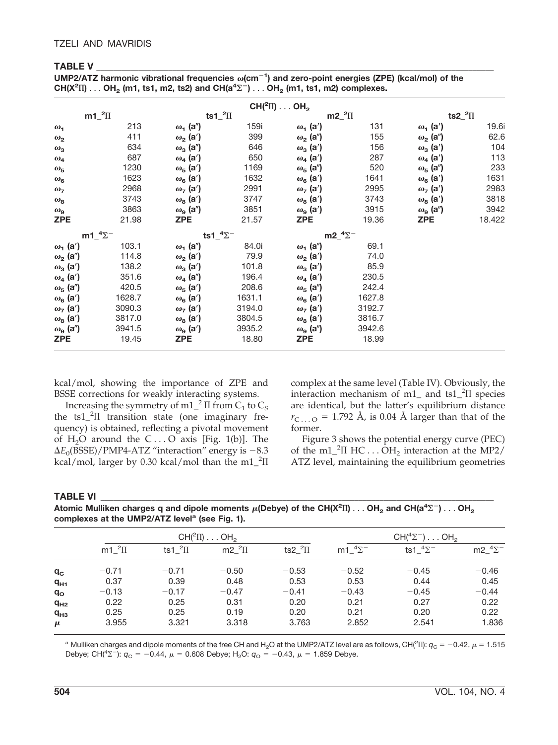## **TABLE V \_\_\_\_\_\_\_\_\_\_\_\_\_\_\_\_\_\_\_\_\_\_\_\_\_\_\_\_\_\_\_\_\_\_\_\_\_\_\_\_\_\_\_\_\_\_\_\_\_\_\_\_\_\_\_\_\_\_\_\_\_\_\_\_\_\_\_\_\_\_\_\_\_\_\_\_\_\_\_\_\_\_\_\_\_\_\_\_\_\_\_\_\_\_**

| UMP2/ATZ harmonic vibrational frequencies $\omega$ (cm <sup>-1</sup> ) and zero-point energies (ZPE) (kcal/mol) of the               |
|--------------------------------------------------------------------------------------------------------------------------------------|
| CH(X <sup>2</sup> II) OH <sub>2</sub> (m1, ts1, m2, ts2) and CH(a <sup>4</sup> $\Sigma^-$ ) OH <sub>2</sub> (m1, ts1, m2) complexes. |

|                         |        |                              |                | $CH(^{2}II) \ldots OH2$ |          |                    |        |
|-------------------------|--------|------------------------------|----------------|-------------------------|----------|--------------------|--------|
| $m1$ <sup>2</sup> $\Pi$ |        |                              | ts1 $^{-2}$ II |                         | $m22\Pi$ | ts2_ $^2\Pi$       |        |
| $\omega_1$              | 213    | $\omega_1$ (a")              | 159i           | $\omega_1$ (a')         | 131      | $\omega_1$ (a')    | 19.6i  |
| $\omega_{2}$            | 411    | $\omega_2$ (a')              | 399            | $\omega_2$ (a")         | 155      | $\omega_2$ (a")    | 62.6   |
| $\omega_3$              | 634    | $\omega_3$ (a'')             | 646            | $\omega_3$ (a')         | 156      | $\omega_3$ (a')    | 104    |
| $\omega_4$              | 687    | $\omega_4$ (a')              | 650            | $\omega_4$ (a')         | 287      | $\omega_4$ (a')    | 113    |
| $\omega_{5}$            | 1230   | $\omega_{5}$ (a')            | 1169           | $\omega_{5}$ (a")       | 520      | $\omega_{5}$ (a")  | 233    |
| $\omega_{6}$            | 1623   | $\omega_{6}$ (a')            | 1632           | $\omega_{6}$ (a')       | 1641     | $\omega_6$ (a')    | 1631   |
| $\omega_7$              | 2968   | $\omega_7$ (a')              | 2991           | $\omega_7$ (a')         | 2995     | $\omega_7$ (a')    | 2983   |
| $\omega_{\rm a}$        | 3743   | $\omega_{8}$ (a')            | 3747           | $\omega_{\rm a}$ (a')   | 3743     | $\omega_{8}$ (a')  | 3818   |
| $\omega_{9}$            | 3863   | $\omega_{9}$ (a")            | 3851           | $\omega_{9}$ (a')       | 3915     | $\omega_{9}$ (a'') | 3942   |
| <b>ZPE</b>              | 21.98  | <b>ZPE</b>                   | 21.57          | <b>ZPE</b>              | 19.36    | <b>ZPE</b>         | 18.422 |
| $m14\Sigma^-$           |        | ts1_ <sup>4</sup> $\Sigma^-$ |                | $m2_{-}^{4}\Sigma^{-}$  |          |                    |        |
| $\omega_1$ (a')         | 103.1  | $\omega_1$ (a")              | 84.0i          | $\omega_1$ (a")         | 69.1     |                    |        |
| $\omega_2$ (a'')        | 114.8  | $\omega_2$ (a')              | 79.9           | $\omega_2$ (a')         | 74.0     |                    |        |
| $\omega_{3}$ (a')       | 138.2  | $\omega_{3}$ (a')            | 101.8          | $\omega_{3}$ (a')       | 85.9     |                    |        |
| $\omega_4$ (a')         | 351.6  | $\omega_4$ (a")              | 196.4          | $\omega_4$ (a')         | 230.5    |                    |        |
| $\omega_5$ (a")         | 420.5  | $\omega_5$ (a')              | 208.6          | $\omega_5$ (a'')        | 242.4    |                    |        |
| $\omega_{6}$ (a')       | 1628.7 | $\omega_6$ (a')              | 1631.1         | $\omega_{6}$ (a')       | 1627.8   |                    |        |
| $\omega_7$ (a')         | 3090.3 | $\omega_7$ (a')              | 3194.0         | $\omega_7$ (a')         | 3192.7   |                    |        |
| $\omega_{8}$ (a')       | 3817.0 | $\omega_{8}$ (a')            | 3804.5         | $\omega_{8}$ (a')       | 3816.7   |                    |        |
| $\omega_{9}$ (a'')      | 3941.5 | $\omega_{9}$ (a')            | 3935.2         | $\omega_{9}$ (a")       | 3942.6   |                    |        |
| <b>ZPE</b>              | 19.45  | <b>ZPE</b>                   | 18.80          | <b>ZPE</b>              | 18.99    |                    |        |

kcal/mol, showing the importance of ZPE and BSSE corrections for weakly interacting systems.

Increasing the symmetry of m1<sup>2</sup>  $\overline{II}$  from C<sub>1</sub> to C<sub>S</sub> the ts1\_<sup>2</sup>II transition state (one imaginary frequency) is obtained, reflecting a pivotal movement of  $H_2O$  around the  $C \ldots O$  axis [Fig. 1(b)]. The  $\Delta E_0(BSSE)/PMP4-ATZ$  "interaction" energy is  $-8.3$ kcal/mol, larger by 0.30 kcal/mol than the m1\_<sup>2</sup>II

complex at the same level (Table IV). Obviously, the interaction mechanism of m1\_ and ts1\_<sup>2</sup>II species are identical, but the latter's equilibrium distance  $r_{\rm C...O}$  = 1.792 Å, is 0.04 Å larger than that of the former.

Figure 3 shows the potential energy curve (PEC) of the m1\_<sup>2</sup> $\Pi$  HC . . . OH<sub>2</sub> interaction at the MP2/ ATZ level, maintaining the equilibrium geometries

## **TABLE VI \_\_\_\_\_\_\_\_\_\_\_\_\_\_\_\_\_\_\_\_\_\_\_\_\_\_\_\_\_\_\_\_\_\_\_\_\_\_\_\_\_\_\_\_\_\_\_\_\_\_\_\_\_\_\_\_\_\_\_\_\_\_\_\_\_\_\_\_\_\_\_\_\_\_\_\_\_\_\_\_\_\_\_\_\_\_\_\_\_\_\_\_\_**

 $A$ tomic Mulliken charges q and dipole moments  $\mu$ (Debye) of the CH(X<sup>2</sup>II)  $\dots$  OH<sub>2</sub> and CH(a<sup>4</sup> $\Sigma^-$ )  $\dots$  OH<sub>2</sub> complexes at the UMP2/ATZ level<sup>a</sup> (see Fig. 1).

|             |             |               | $CH(^{2}II) \ldots OH_{2}$ | $CH(^{4}\Sigma^{-})$ OH <sub>2</sub> |                |                 |                    |
|-------------|-------------|---------------|----------------------------|--------------------------------------|----------------|-----------------|--------------------|
|             | $m1^{2}$ II | ts1 $^{2}$ II | m2 $^{2}$ II               | ts2 $^2\Pi$                          | m1 $4\Sigma^-$ | ts1 $4\Sigma^-$ | $m2^{4}\Sigma^{-}$ |
| $q_c$       | $-0.71$     | $-0.71$       | $-0.50$                    | $-0.53$                              | $-0.52$        | $-0.45$         | $-0.46$            |
| $q_{H1}$    | 0.37        | 0.39          | 0.48                       | 0.53                                 | 0.53           | 0.44            | 0.45               |
| $q_{\rm o}$ | $-0.13$     | $-0.17$       | $-0.47$                    | $-0.41$                              | $-0.43$        | $-0.45$         | $-0.44$            |
| $q_{H2}$    | 0.22        | 0.25          | 0.31                       | 0.20                                 | 0.21           | 0.27            | 0.22               |
| $q_{H3}$    | 0.25        | 0.25          | 0.19                       | 0.20                                 | 0.21           | 0.20            | 0.22               |
| $\mu$       | 3.955       | 3.321         | 3.318                      | 3.763                                | 2.852          | 2.541           | 1.836              |

 $^{\rm a}$  Mulliken charges and dipole moments of the free CH and H<sub>2</sub>O at the UMP2/ATZ level are as follows, CH( $^2$ II):  $q_{\rm C}$  =  $-$  0.42,  $\mu$  = 1.515 Debye; CH(<sup>4</sup> $\Sigma$ <sup>-</sup>):  $q_C = -0.44$ ,  $\mu = 0.608$  Debye; H<sub>2</sub>O:  $q_O = -0.43$ ,  $\mu = 1.859$  Debye.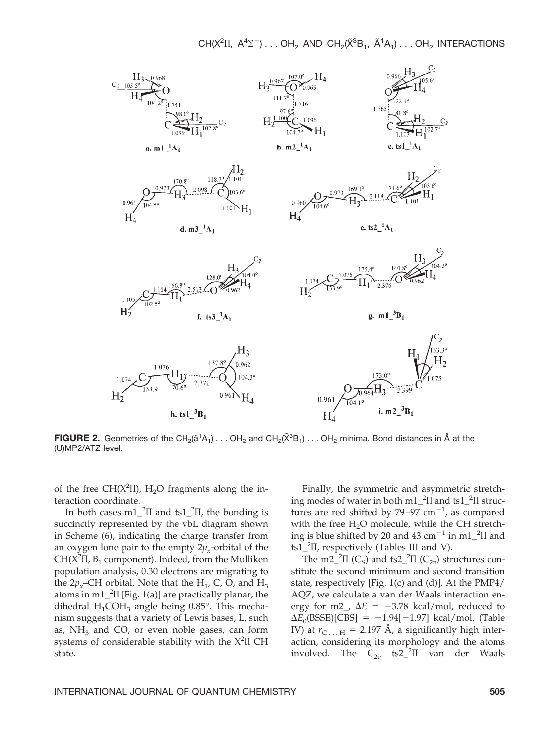

**FIGURE 2.** Geometries of the CH<sub>2</sub>( $\tilde{a}$ <sup>1</sup>A<sub>1</sub>) . . . OH<sub>2</sub> and CH<sub>2</sub>( $\tilde{X}$ <sup>3</sup>B<sub>1</sub>) . . . OH<sub>2</sub> minima. Bond distances in Å at the (U)MP2/ATZ level.

of the free CH $(X^2\Pi)$ , H<sub>2</sub>O fragments along the interaction coordinate.

In both cases  $m1_2^2\Pi$  and ts $1_2^2\Pi$ , the bonding is succinctly represented by the vbL diagram shown in Scheme (6), indicating the charge transfer from an oxygen lone pair to the empty  $2p_x$ -orbital of the CH( $X^2\Pi$ , B<sub>1</sub> component). Indeed, from the Mulliken population analysis, 0.30 electrons are migrating to the  $2p_x$ –CH orbital. Note that the H<sub>1</sub>, C, O, and H<sub>3</sub> atoms in m1 $_2$ <sup>2</sup> $\Pi$  [Fig. 1(a)] are practically planar, the dihedral  $H_1COH_3$  angle being 0.85°. This mechanism suggests that a variety of Lewis bases, L, such as,  $NH<sub>3</sub>$  and CO, or even noble gases, can form systems of considerable stability with the  $X^2\Pi$  CH state.

Finally, the symmetric and asymmetric stretching modes of water in both m1 $2$ TI and ts1 $2$ TI structures are red shifted by  $79-97$   $cm^{-1}$ , as compared with the free  $H_2O$  molecule, while the CH stretching is blue shifted by 20 and 43  $cm^{-1}$  in m1\_<sup>2</sup> $\Pi$  and ts1\_<sup>2</sup>II, respectively (Tables III and V).

The m2<sup> $-$ 2</sup>II (C<sub>*S*</sub>)</sub> and ts2<sup> $-$ 2</sup>II (C<sub>2*v*</sub>) structures constitute the second minimum and second transition state, respectively [Fig. 1(c) and (d)]. At the PMP4/ AQZ, we calculate a van der Waals interaction energy for m2\_,  $\Delta E = -3.78$  kcal/mol, reduced to  $\Delta E_0(BSSE)[CBS] = -1.94[-1.97]$  kcal/mol, (Table IV) at  $r_{\text{C}...H}$  = 2.197 Å, a significantly high interaction, considering its morphology and the atoms involved. The  $C_{2v}$  ts2<sup>2</sup><sub>II</sub> van der Waals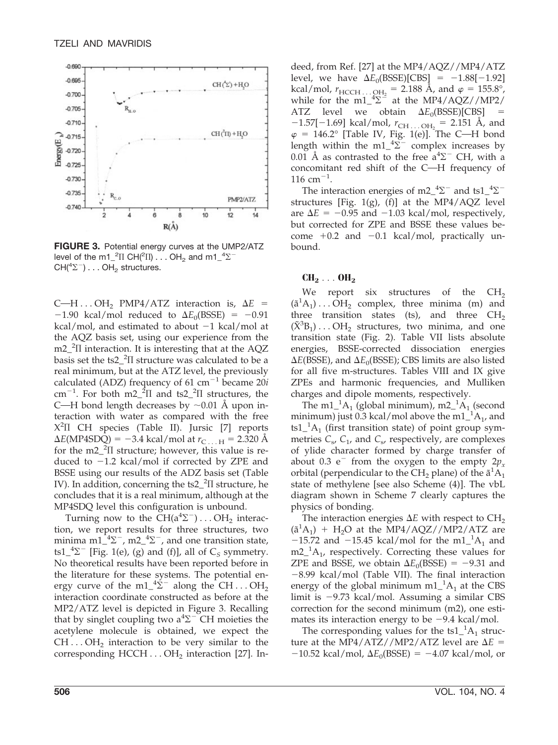

**FIGURE 3.** Potential energy curves at the UMP2/ATZ level of the m1\_<sup>2</sup>II CH(<sup>2</sup>II)  $\dots$  OH<sub>2</sub> and m1\_<sup>4</sup> $\Sigma^ CH(^{4}\Sigma^{-}) \dots OH_{2}$  structures.

C—H...OH<sub>2</sub> PMP4/ATZ interaction is,  $\Delta E$  =  $-1.90$  kcal/mol reduced to  $\Delta E_0(BSSE) = -0.91$ kcal/mol, and estimated to about  $-1$  kcal/mol at the AQZ basis set, using our experience from the m2\_<sup>2</sup>II interaction. It is interesting that at the AQZ basis set the ts2 $2$ <sup>2</sup> $\overline{\Pi}$  structure was calculated to be a real minimum, but at the ATZ level, the previously calculated (ADZ) frequency of 61  $cm^{-1}$  became 20*i*  $\text{cm}^{-1}$ . For both m2\_<sup>2</sup> $\text{II}$  and ts2\_<sup>2</sup> $\text{II}$  structures, the C—H bond length decreases by  $\sim$ 0.01 Å upon interaction with water as compared with the free X2 CH species (Table II). Jursic [7] reports  $\Delta E(MP4SDQ) = -3.4$  kcal/mol at  $r_{C...H} = 2.320$  Å for the  $m2<sup>2</sup>$ II structure; however, this value is reduced to  $-1.2$  kcal/mol if corrected by ZPE and BSSE using our results of the ADZ basis set (Table IV). In addition, concerning the ts2 $^{-2}$ II structure, he concludes that it is a real minimum, although at the MP4SDQ level this configuration is unbound.

Turning now to the  $CH(a^4\Sigma^-) \dots OH_2$  interaction, we report results for three structures, two minima  $m1_{-}^{4}\Sigma^{-}$ , m2 $_{-}^{4}\Sigma^{-}$ , and one transition state, ts1 $\frac{4}{5}$ <sup>-4</sup> $\sum$ <sup>-</sup> [Fig. 1(e), (g) and (f)], all of  $C_s$  symmetry. No theoretical results have been reported before in the literature for these systems. The potential energy curve of the  $m1_2^2$ <sup>2</sup> along the CH...OH<sub>2</sub> interaction coordinate constructed as before at the MP2/ATZ level is depicted in Figure 3. Recalling that by singlet coupling two  $a^4\Sigma$ <sup>-</sup> CH moieties the acetylene molecule is obtained, we expect the  $CH \dots OH_2$  interaction to be very similar to the corresponding HCCH  $\dots$  OH<sub>2</sub> interaction [27]. Indeed, from Ref. [27] at the MP4/AQZ//MP4/ATZ level, we have  $\Delta E_0(BSSE)[CBS] = -1.88[-1.92]$ kcal/mol,  $r_{\text{HCCH}... \text{OH}_2} = 2.188 \text{ Å}$ , and  $\varphi = 155.8^{\circ}$ , while for the  $m1_2^4\Sigma$  at the MP4/AQZ//MP2/ ATZ level we obtain  $\Delta E_0(BSSE)[CBS]$  =  $[-1.57[-1.69]$  kcal/mol,  $r_{\text{CH} \dots \text{OH}_2} = 2.151$  Å, and  $\varphi = 146.2^{\circ}$  [Table IV, Fig. 1(e)]. The C—H bond length within the  $m1_2^4\Sigma^-$  complex increases by  $0.01$  Å as contrasted to the free  $a^4\Sigma^-$  CH, with a concomitant red shift of the C-H frequency of  $116$  cm<sup>-1</sup>.

The interaction energies of m2\_ $^{4}\Sigma^{-}$  and ts1\_ $^{4}\Sigma^{-}$ structures [Fig. 1(g), (f)] at the MP4/AQZ level are  $\Delta E = -0.95$  and  $-1.03$  kcal/mol, respectively, but corrected for ZPE and BSSE these values become  $+0.2$  and  $-0.1$  kcal/mol, practically unbound.

#### **CH2** ... **OH2**

We report six structures of the  $CH<sub>2</sub>$  $(\tilde{a}^1A_1)\ldots\tilde{O}H_2$  complex, three minima (m) and three transition states (ts), and three  $CH<sub>2</sub>$  $(\tilde{X}^3B_1) \ldots OH_2$  structures, two minima, and one transition state (Fig. 2). Table VII lists absolute energies, BSSE-corrected dissociation energies  $\Delta E(BSSE)$ , and  $\Delta E_0(BSSE)$ ; CBS limits are also listed for all five m-structures. Tables VIII and IX give ZPEs and harmonic frequencies, and Mulliken charges and dipole moments, respectively.

The m1\_ $^{1}A_{1}$  (global minimum), m2\_ $^{1}A_{1}$  (second minimum) just  $0.3$  kcal/mol above the m $1^{\text{-}1}_{\text{-}}A_1$ , and  $\text{ts1}^{-1}\text{A}_1$  (first transition state) of point group symmetries  $C_{s}$ ,  $C_{1}$ , and  $C_{s}$ , respectively, are complexes of ylide character formed by charge transfer of about 0.3  $e^-$  from the oxygen to the empty  $2p_x$ orbital (perpendicular to the CH<sub>2</sub> plane) of the  $\tilde{a}^1 \tilde{A}_1$ state of methylene [see also Scheme (4)]. The vbL diagram shown in Scheme 7 clearly captures the physics of bonding.

The interaction energies  $\Delta E$  with respect to  $CH<sub>2</sub>$  $(\tilde{a}^1A_1)$  + H<sub>2</sub>O at the MP4/AQZ//MP2/ATZ are  $-15.72$  and  $-15.45$  kcal/mol for the m1<sup>1</sup>A<sub>1</sub> and  $m2_{1}^{1}A_{1}$ , respectively. Correcting these values for ZPE and BSSE, we obtain  $\Delta E_0(BSSE) = -9.31$  and 8.99 kcal/mol (Table VII). The final interaction energy of the global minimum  $m1_$ <sup>1</sup> $A_1$  at the CBS limit is  $-9.73$  kcal/mol. Assuming a similar CBS correction for the second minimum (m2), one estimates its interaction energy to be  $-9.4$  kcal/mol.

The corresponding values for the  $ts1_A^1A_1$  structure at the MP4/ATZ//MP2/ATZ level are  $\Delta E =$  $-10.52$  kcal/mol,  $\Delta E_0(BSSE) = -4.07$  kcal/mol, or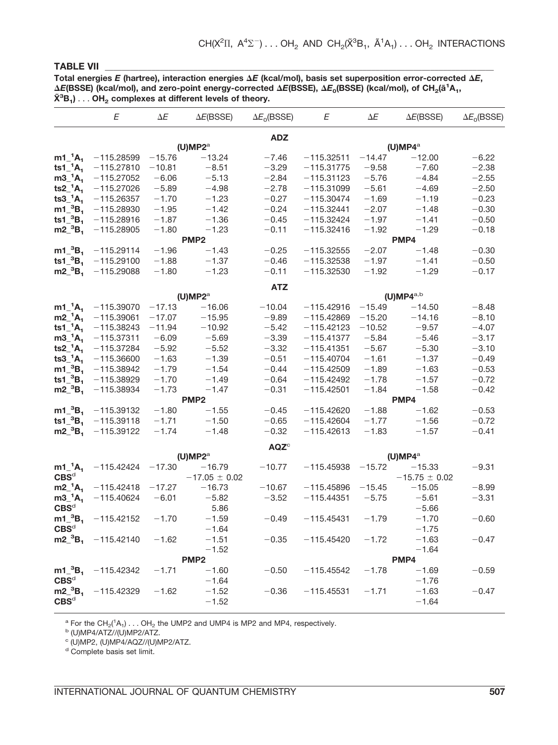#### **TABLE VII \_\_\_\_\_\_\_\_\_\_\_\_\_\_\_\_\_\_\_\_\_\_\_\_\_\_\_\_\_\_\_\_\_\_\_\_\_\_\_\_\_\_\_\_\_\_\_\_\_\_\_\_\_\_\_\_\_\_\_\_\_\_\_\_\_\_\_\_\_\_\_\_\_\_\_\_\_\_\_\_\_\_\_\_\_\_\_\_\_\_\_\_**

**Total energies** *E* **(hartree), interaction energies** *E* **(kcal/mol), basis set superposition error-corrected** *E***,**  $\Delta$ **E**(BSSE) (kcal/mol), and zero-point energy-corrected  $\Delta$ **E**(BSSE),  $\Delta$ **E**<sub>0</sub>(BSSE) (kcal/mol), of CH<sub>2</sub>(ã<sup>1</sup>A<sub>1</sub>,  $\tilde{X}$ <sup>3</sup>B<sub>1</sub>) ... OH<sub>2</sub> complexes at different levels of theory.

|                                  | E                                           | $\Delta E$ | $\Delta E(BSSE)$            | $\Delta E_0$ (BSSE) | Ε            | $\Delta E$ | $\Delta E(BSSE)$  | $\Delta E_0(BSSE)$ |
|----------------------------------|---------------------------------------------|------------|-----------------------------|---------------------|--------------|------------|-------------------|--------------------|
|                                  |                                             |            |                             | <b>ADZ</b>          |              |            |                   |                    |
|                                  |                                             |            | $(U)MP2^a$                  |                     |              |            | $(U)MP4^a$        |                    |
| $m1^{-1}A_1$                     | $-115.28599$                                | $-15.76$   | $-13.24$                    | $-7.46$             | $-115.32511$ | $-14.47$   | $-12.00$          | $-6.22$            |
| $ts1-1A1$                        | $-115.27810$                                | $-10.81$   | $-8.51$                     | $-3.29$             | $-115.31775$ | $-9.58$    | $-7.60$           | $-2.38$            |
| $m3-1A1$                         | $-115.27052$                                | $-6.06$    | $-5.13$                     | $-2.84$             | $-115.31123$ | $-5.76$    | $-4.84$           | $-2.55$            |
| $ts2-1A1$                        | $-115.27026$                                | $-5.89$    | $-4.98$                     | $-2.78$             | $-115.31099$ | $-5.61$    | $-4.69$           | $-2.50$            |
| ts3_ $^1$ A <sub>1</sub>         | $-115.26357$                                | $-1.70$    | $-1.23$                     | $-0.27$             | $-115.30474$ | $-1.69$    | $-1.19$           | $-0.23$            |
| m1 <sup>3</sup> B <sub>1</sub>   | $-115.28930$                                | $-1.95$    | $-1.42$                     | $-0.24$             | $-115.32441$ | $-2.07$    | $-1.48$           | $-0.30$            |
| ts1_ $^3B_1$                     | $-115.28916$                                | $-1.87$    | $-1.36$                     | $-0.45$             | $-115.32424$ | $-1.97$    | $-1.41$           | $-0.50$            |
| $m2_{a}^{3}B_{1}$                | $-115.28905$                                | $-1.80$    | $-1.23$                     | $-0.11$             | $-115.32416$ | $-1.92$    | $-1.29$           | $-0.18$            |
|                                  |                                             |            | PMP <sub>2</sub>            |                     |              |            | PMP4              |                    |
| $m1$ <sup>3</sup> B <sub>1</sub> | $-115.29114$                                | $-1.96$    | $-1.43$                     | $-0.25$             | $-115.32555$ | $-2.07$    | $-1.48$           | $-0.30$            |
| $ts1^{3}B_1$                     | $-115.29100$                                | $-1.88$    | $-1.37$                     | $-0.46$             | $-115.32538$ | $-1.97$    | $-1.41$           | $-0.50$            |
| $m2^{3}B_{1}$                    | $-115.29088$                                | $-1.80$    | $-1.23$                     | $-0.11$             | $-115.32530$ | $-1.92$    | $-1.29$           | $-0.17$            |
|                                  |                                             |            |                             | <b>ATZ</b>          |              |            |                   |                    |
|                                  |                                             |            | $(U)MP2^a$                  |                     |              |            | $(U)MP4^{a,b}$    |                    |
| $m1-1A1$                         | $-115.39070$                                | $-17.13$   | $-16.06$                    | $-10.04$            | $-115.42916$ | $-15.49$   | $-14.50$          | $-8.48$            |
| $m2-1A1$                         | $-115.39061$                                | $-17.07$   | $-15.95$                    | $-9.89$             | $-115.42869$ | $-15.20$   | $-14.16$          | $-8.10$            |
| ts1_ $^1$ A <sub>1</sub>         | $-115.38243$                                | $-11.94$   | $-10.92$                    | $-5.42$             | $-115.42123$ | $-10.52$   | $-9.57$           | $-4.07$            |
| $m3-1A1$                         | $-115.37311$                                | $-6.09$    | $-5.69$                     | $-3.39$             | $-115.41377$ | $-5.84$    | $-5.46$           | $-3.17$            |
| $ts2-1A1$                        | $-115.37284$                                | $-5.92$    | $-5.52$                     | $-3.32$             | $-115.41351$ | $-5.67$    | $-5.30$           | $-3.10$            |
| ts3_ $^1$ A <sub>1</sub>         | $-115.36600$                                | $-1.63$    | $-1.39$                     | $-0.51$             | $-115.40704$ | $-1.61$    | $-1.37$           | $-0.49$            |
| m1 <sup>3</sup> B <sub>1</sub>   | $-115.38942$                                | $-1.79$    | $-1.54$                     | $-0.44$             | $-115.42509$ | $-1.89$    | $-1.63$           | $-0.53$            |
| $ts1^{3}B_1$                     | $-115.38929$                                | $-1.70$    | $-1.49$                     | $-0.64$             | $-115.42492$ | $-1.78$    | $-1.57$           | $-0.72$            |
| $m2^{3}B_{1}$                    | $-115.38934$                                | $-1.73$    | $-1.47$<br>PMP <sub>2</sub> | $-0.31$             | $-115.42501$ | $-1.84$    | $-1.58$<br>PMP4   | $-0.42$            |
| $m1$ <sup>3</sup> B <sub>1</sub> | $-115.39132$                                | $-1.80$    | $-1.55$                     | $-0.45$             | $-115.42620$ | $-1.88$    | $-1.62$           | $-0.53$            |
| ts1_ ${}^3B_1$                   | $-115.39118$                                | $-1.71$    | $-1.50$                     | $-0.65$             | $-115.42604$ | $-1.77$    | $-1.56$           | $-0.72$            |
| $m2^{3}B_{1}$                    | $-115.39122$                                | $-1.74$    | $-1.48$                     | $-0.32$             | $-115.42613$ | $-1.83$    | $-1.57$           | $-0.41$            |
|                                  |                                             |            |                             |                     |              |            |                   |                    |
|                                  |                                             |            | $(U)MP2^a$                  | $AQZ^c$             |              |            | $(U)MP4^a$        |                    |
| $m1^{-1}A_1$                     | $-115.42424$                                | $-17.30$   | $-16.79$                    | $-10.77$            | $-115.45938$ | $-15.72$   | $-15.33$          | $-9.31$            |
| CBS <sup>d</sup>                 |                                             |            | $-17.05 \pm 0.02$           |                     |              |            | $-15.75 \pm 0.02$ |                    |
| $m2-1A1$                         | $-115.42418$                                | $-17.27$   | $-16.73$                    | $-10.67$            | $-115.45896$ | $-15.45$   | $-15.05$          | $-8.99$            |
| $m3-1A1$                         | $-115.40624$                                | $-6.01$    | $-5.82$                     | $-3.52$             | $-115.44351$ | $-5.75$    | $-5.61$           | $-3.31$            |
| CBS <sup>d</sup>                 |                                             |            | 5.86                        |                     |              |            | $-5.66$           |                    |
| m1 <sup>3</sup> B <sub>1</sub>   | $-115.42152$                                | $-1.70$    | $-1.59$                     | $-0.49$             | $-115.45431$ | $-1.79$    | $-1.70$           | $-0.60$            |
| $\mathbf{CBS}^d$                 |                                             |            | $-1.64$                     |                     |              |            | $-1.75$           |                    |
|                                  | $m2^{3}B_{1}$ -115.42140                    | $-1.62$    | $-1.51$                     | $-0.35$             | $-115.45420$ | $-1.72$    | $-1.63$           | $-0.47$            |
|                                  |                                             |            | $-1.52$                     |                     |              |            | $-1.64$           |                    |
|                                  |                                             |            | PMP <sub>2</sub>            |                     |              |            | PMP4              |                    |
|                                  | $m1$ <sup>3</sup> B <sub>1</sub> -115.42342 | $-1.71$    | $-1.60$                     | $-0.50$             | $-115.45542$ | $-1.78$    | $-1.69$           | $-0.59$            |
| CBS <sup>d</sup>                 |                                             |            | $-1.64$                     |                     |              |            | $-1.76$           |                    |
| $m2_{}^{3}B_{1}$                 | $-115.42329$                                | $-1.62$    | $-1.52$                     | $-0.36$             | $-115.45531$ | $-1.71$    | $-1.63$           | $-0.47$            |
| CBS <sup>d</sup>                 |                                             |            | $-1.52$                     |                     |              |            | $-1.64$           |                    |
|                                  |                                             |            |                             |                     |              |            |                   |                    |

<sup>a</sup> For the CH<sub>2</sub>(<sup>1</sup>A<sub>1</sub>) . . . OH<sub>2</sub> the UMP2 and UMP4 is MP2 and MP4, respectively.<br><sup>b</sup> (U)MP4/ATZ//(U)MP2/ATZ.

 $\circ$  (U)MP2, (U)MP4/AQZ//(U)MP2/ATZ.

<sup>d</sup> Complete basis set limit.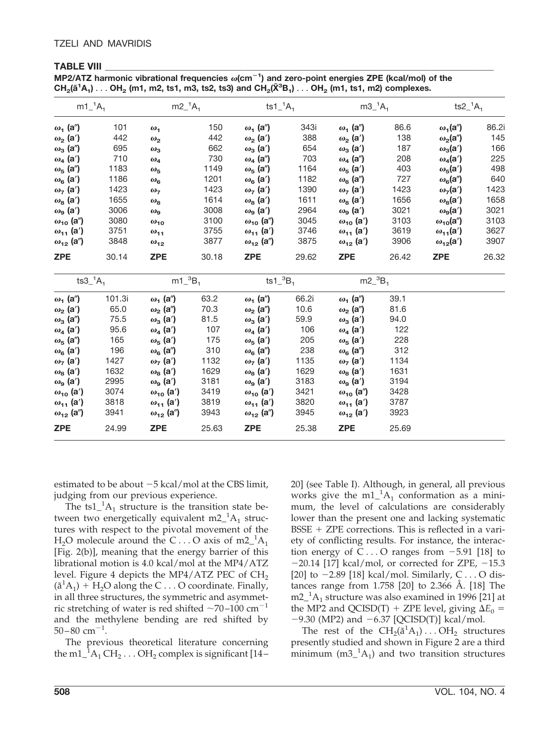# **TABLE VIII**

**MP2/ATZ** harmonic vibrational frequencies ω(cm<sup>-1</sup>) and zero-point energies ZPE (kcal/mol) of the  $CH_2(\tilde{a}^1A_1) \ldots OH_2$  (m1, m2, ts1, m3, ts2, ts3) and  $CH_2(\tilde{X}^3B_1) \ldots OH_2$  (m1, ts1, m2) complexes.

| $m1^{-1}A_1$                       |        | $m2-1A1$                       |       |                       | ts $1^{-1}A_1$ |                                | $m3-1-1A1$ |                           | $ts2--1A1$ |  |
|------------------------------------|--------|--------------------------------|-------|-----------------------|----------------|--------------------------------|------------|---------------------------|------------|--|
| $\omega_1$ (a")                    | 101    | $\omega_1$                     | 150   | $\omega_1$ (a")       | 343i           | $\omega_1$ (a'')               | 86.6       | $\omega_1$ (a'')          | 86.2i      |  |
| $\omega_2$ (a')                    | 442    | $\omega_{2}$                   | 442   | $\omega_2$ (a')       | 388            | $\omega_2$ (a')                | 138        | $\omega_2$ (a'')          | 145        |  |
| $\omega_{3}$ (a'')                 | 695    | $\omega_3$                     | 662   | $\omega_3$ (a')       | 654            | $\omega_{3}$ (a')              | 187        | $\omega_{3}(\mathbf{a}')$ | 166        |  |
| $\omega_4$ (a')                    | 710    | $\omega_4$                     | 730   | $\omega_4$ (a")       | 703            | $\omega_4$ (a")                | 208        | $\omega_4$ (a')           | 225        |  |
| $\omega_{5}$ (a'')                 | 1183   | $\omega_5$                     | 1149  | $\omega_{5}$ (a")     | 1164           | $\omega_{5}$ (a')              | 403        | $\omega_5(a')$            | 498        |  |
| $\omega_{6}$ (a')                  | 1186   | $\omega_{6}$                   | 1201  | $\omega_{6}$ (a')     | 1182           | $\omega_{6}$ (a'')             | 727        | $\omega_{6}$ (a'')        | 640        |  |
| $\omega_7$ (a')                    | 1423   | $\omega_7$                     | 1423  | $\omega_7$ (a')       | 1390           | $\omega_7$ (a')                | 1423       | $\omega_7$ (a')           | 1423       |  |
| $\omega_{8}$ (a')                  | 1655   | $\omega_{\rm B}$               | 1614  | $\omega_{8}$ (a')     | 1611           | $\omega_{8}$ (a')              | 1656       | $\omega_{8}(\mathsf{a}')$ | 1658       |  |
| $\omega_{9}$ (a')                  | 3006   | $\omega_{9}$                   | 3008  | $\omega_{9}$ (a')     | 2964           | $\omega_{9}$ (a')              | 3021       | $\omega_{9}(\mathsf{a}')$ | 3021       |  |
| $\omega_{10}$ (a")                 | 3080   | $\omega_{10}$                  | 3100  | $\omega_{10}$ (a'')   | 3045           | $\omega_{10}$ (a')             | 3103       | $\omega_{10}$ (a'')       | 3103       |  |
| $\omega_{11}$ (a')                 | 3751   | $\omega_{11}$                  | 3755  | $\omega_{11}$ (a')    | 3746           | $\omega_{11}$ (a')             | 3619       | $\omega_{11}$ (a')        | 3627       |  |
| $\omega_{12}$ (a")                 | 3848   | $\omega_{12}$                  | 3877  | $\omega_{12}$ (a")    | 3875           | $\omega_{12}$ (a')             | 3906       | $\omega_{12}$ (a')        | 3907       |  |
| <b>ZPE</b>                         | 30.14  | <b>ZPE</b>                     | 30.18 | <b>ZPE</b>            | 29.62          | <b>ZPE</b>                     | 26.42      | <b>ZPE</b>                | 26.32      |  |
| $\text{ts3}^{-1}_A$ A <sub>1</sub> |        | m1 <sup>3</sup> B <sub>1</sub> |       | $ts1^{3}_{-}B_1$      |                | m2 <sup>3</sup> B <sub>1</sub> |            |                           |            |  |
| $\omega_1$ (a")                    | 101.3i | $\omega_1$ (a")                | 63.2  | $\omega_1$ (a")       | 66.2i          | $\omega_1$ (a")                | 39.1       |                           |            |  |
| $\omega_2$ (a')                    | 65.0   | $\omega_{2}$ (a")              | 70.3  | $\omega_2$ (a")       | 10.6           | $\omega_{2}$ (a'')             | 81.6       |                           |            |  |
| $\omega_3$ (a'')                   | 75.5   | $\omega_3$ (a')                | 81.5  | $\omega_3$ (a')       | 59.9           | $\omega_3$ (a')                | 94.0       |                           |            |  |
| $\omega_4$ (a')                    | 95.6   | $\omega_4$ (a')                | 107   | $\omega_4$ (a')       | 106            | $\omega_4$ (a')                | 122        |                           |            |  |
| $\omega_{5}$ (a'')                 | 165    | $\omega_{5}$ (a')              | 175   | $\omega_{5}$ (a')     | 205            | $\omega_5$ (a')                | 228        |                           |            |  |
| $\omega_{6}$ (a')                  | 196    | $\omega_{6}$ (a")              | 310   | $\omega_{6}$ (a")     | 238            | $\omega_{6}$ (a")              | 312        |                           |            |  |
| $\omega_7$ (a')                    | 1427   | $\omega_7$ (a')                | 1132  | $\omega_7$ (a')       | 1135           | $\omega_7$ (a')                | 1134       |                           |            |  |
| $\omega_{\rm a}$ (a')              | 1632   | $\omega_{8}$ (a')              | 1629  | $\omega_{\rm a}$ (a') | 1629           | $\omega_{8}$ (a')              | 1631       |                           |            |  |
| $\omega_{9}$ (a')                  | 2995   | $\omega_{9}$ (a')              | 3181  | $\omega_{9}$ (a')     | 3183           | $\omega_{9}$ (a')              | 3194       |                           |            |  |
| $\omega_{10}$ (a')                 | 3074   | $\omega_{10}$ (a')             | 3419  | $\omega_{10}$ (a')    | 3421           | $\omega_{10}$ (a")             | 3428       |                           |            |  |
| $\omega_{11}$ (a')                 | 3818   | $\omega_{11}$ (a')             | 3819  | $\omega_{11}$ (a')    | 3820           | $\omega_{11}$ (a')             | 3787       |                           |            |  |
| $\omega_{12}$ (a")                 | 3941   | $\omega_{12}$ (a")             | 3943  | $\omega_{12}$ (a")    | 3945           | $\omega_{12}$ (a')             | 3923       |                           |            |  |
| <b>ZPE</b>                         | 24.99  | <b>ZPE</b>                     | 25.63 | <b>ZPE</b>            | 25.38          | <b>ZPE</b>                     | 25.69      |                           |            |  |

estimated to be about  $-5$  kcal/mol at the CBS limit, judging from our previous experience.

The ts $1<sup>-1</sup>A<sub>1</sub>$  structure is the transition state between two energetically equivalent  $m2\_^{1}A_{1}$  structures with respect to the pivotal movement of the  $H_2O$  molecule around the C...O axis of m2\_<sup>1</sup>A<sub>1</sub> [Fig. 2(b)], meaning that the energy barrier of this librational motion is 4.0 kcal/mol at the MP4/ATZ level. Figure 4 depicts the MP4/ATZ PEC of CH<sub>2</sub>  $(\tilde{a}^1A_1)$  +  $H_2O$  along the C... O coordinate. Finally, in all three structures, the symmetric and asymmetric stretching of water is red shifted  $\sim$ 70–100 cm<sup>-1</sup> and the methylene bending are red shifted by  $50 - 80$  cm<sup>-1</sup>.

The previous theoretical literature concerning the m1\_ ${}^1A_1$  CH<sub>2</sub> . . . OH<sub>2</sub> complex is significant [14 –

20] (see Table I). Although, in general, all previous works give the  $m1_A$ <sup>1</sup>A<sub>1</sub> conformation as a minimum, the level of calculations are considerably lower than the present one and lacking systematic  $BSSE + ZPE$  corrections. This is reflected in a variety of conflicting results. For instance, the interaction energy of  $C \dots O$  ranges from  $-5.91$  [18] to  $-20.14$  [17] kcal/mol, or corrected for ZPE,  $-15.3$ [20] to  $-2.89$  [18] kcal/mol. Similarly, C...O distances range from 1.758 [20] to 2.366 Å. [18] The  $m2$ <sup>1</sup> $A$ <sub>1</sub> structure was also examined in 1996 [21] at the MP2 and QCISD(T) + ZPE level, giving  $\Delta E_0$  =  $-9.30$  (MP2) and  $-6.37$  [QCISD(T)] kcal/mol.

The rest of the  $CH_2(\tilde{a}^1A_1)...OH_2$  structures presently studied and shown in Figure 2 are a third minimum  $(m3_1^1A_1)$  and two transition structures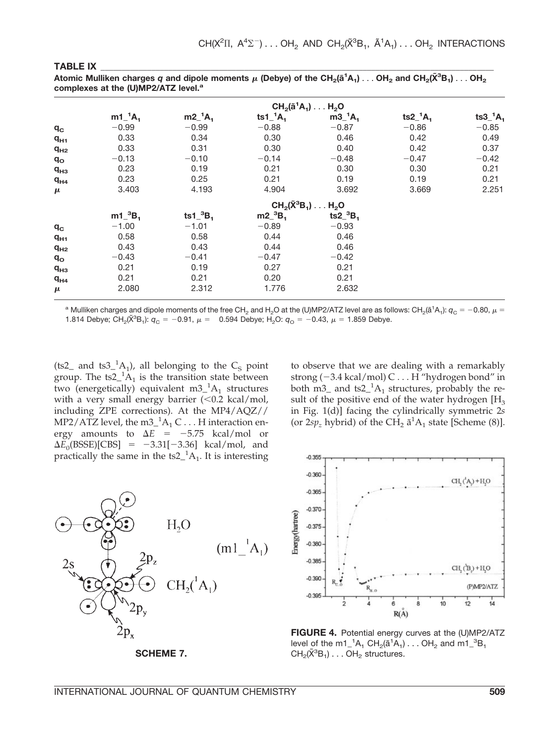|             | complexes at the (U)MP2/ATZ level. <sup>a</sup> |                |                                |                                    |                          |              |  |  |  |  |  |  |
|-------------|-------------------------------------------------|----------------|--------------------------------|------------------------------------|--------------------------|--------------|--|--|--|--|--|--|
|             | $CH_2(\tilde{a}^1A_1)H_2O$                      |                |                                |                                    |                          |              |  |  |  |  |  |  |
|             | $m1-1A1$                                        | $m2-1A1$       | ts1_ $^1$ A <sub>1</sub>       | $m3_1^1A_1$                        | ts2_ $^1$ A <sub>1</sub> | $ts3_1^4A_1$ |  |  |  |  |  |  |
| $q_c$       | $-0.99$                                         | $-0.99$        | $-0.88$                        | $-0.87$                            | $-0.86$                  | $-0.85$      |  |  |  |  |  |  |
| $q_{H1}$    | 0.33                                            | 0.34           | 0.30                           | 0.46                               | 0.42                     | 0.49         |  |  |  |  |  |  |
| $q_{H2}$    | 0.33                                            | 0.31           | 0.30                           | 0.40                               | 0.42                     | 0.37         |  |  |  |  |  |  |
| $q_{\rm o}$ | $-0.13$                                         | $-0.10$        | $-0.14$                        | $-0.48$                            | $-0.47$                  | $-0.42$      |  |  |  |  |  |  |
| $q_{H3}$    | 0.23                                            | 0.19           | 0.21                           | 0.30                               | 0.30                     | 0.21         |  |  |  |  |  |  |
| $q_{H4}$    | 0.23                                            | 0.25           | 0.21                           | 0.19                               | 0.19                     | 0.21         |  |  |  |  |  |  |
| $\mu$       | 3.403                                           | 4.193          | 4.904                          | 3.692                              | 3.669                    | 2.251        |  |  |  |  |  |  |
|             |                                                 |                |                                | $CH_2(\tilde{X}^3B_1) \ldots H_2O$ |                          |              |  |  |  |  |  |  |
|             | $m1$ <sup>3</sup> B <sub>1</sub>                | ts1_ ${}^3B_1$ | m2 <sup>3</sup> B <sub>1</sub> | $ts2^{3}B_1$                       |                          |              |  |  |  |  |  |  |
| $q_c$       | $-1.00$                                         | $-1.01$        | $-0.89$                        | $-0.93$                            |                          |              |  |  |  |  |  |  |
| $q_{H1}$    | 0.58                                            | 0.58           | 0.44                           | 0.46                               |                          |              |  |  |  |  |  |  |
| $q_{H2}$    | 0.43                                            | 0.43           | 0.44                           | 0.46                               |                          |              |  |  |  |  |  |  |
| $q_{\rm o}$ | $-0.43$                                         | $-0.41$        | $-0.47$                        | $-0.42$                            |                          |              |  |  |  |  |  |  |
| $q_{H3}$    | 0.21                                            | 0.19           | 0.27                           | 0.21                               |                          |              |  |  |  |  |  |  |
| $q_{H4}$    | 0.21                                            | 0.21           | 0.20                           | 0.21                               |                          |              |  |  |  |  |  |  |
| $\mu$       | 2.080                                           | 2.312          | 1.776                          | 2.632                              |                          |              |  |  |  |  |  |  |

**TABLE IX \_\_\_\_\_\_\_\_\_\_\_\_\_\_\_\_\_\_\_\_\_\_\_\_\_\_\_\_\_\_\_\_\_\_\_\_\_\_\_\_\_\_\_\_\_\_\_\_\_\_\_\_\_\_\_\_\_\_\_\_\_\_\_\_\_\_\_\_\_\_\_\_\_\_\_\_\_\_\_\_\_\_\_\_\_\_\_\_\_\_\_\_\_** Atomic Mulliken charges  $q$  and dipole moments  $\mu$  (Debye) of the CH<sub>2</sub>(ã<sup>1</sup>  $OH<sub>2</sub>$  and  $CH<sub>2</sub>(X<sup>3</sup>B<sub>2</sub>)$ **B1)** ... **OH2**

<sup>a</sup> Mulliken charges and dipole moments of the free CH<sub>2</sub> and H<sub>2</sub>O at the (U)MP2/ATZ level are as follows: CH<sub>2</sub>(ã<sup>1</sup>A<sub>1</sub>):  $q_C = -0.80$ ,  $\mu =$ 1.814 Debye; CH<sub>2</sub>( $\tilde{X}^3B_1$ ):  $q_C = -0.91$ ,  $\mu = 0.594$  Debye; H<sub>2</sub>O:  $q_O = -0.43$ ,  $\mu = 1.859$  Debye.

(ts2\_ and ts3\_ $^1$ A<sub>1</sub>), all belonging to the C<sub>S</sub> point group. The  $ts2_{-}^{1}A_{1}$  is the transition state between two (energetically) equivalent  $m3_1^1A_1$  structures with a very small energy barrier  $( $0.2$  kcal/mol,$ including ZPE corrections). At the MP4/AQZ// MP2/ATZ level, the m3 $^{-1}A_1C...$  H interaction energy amounts to  $\Delta E = -5.75$  kcal/mol or  $\Delta E_0(BSSE)[CBS] = -3.31[-3.36]$  kcal/mol, and practically the same in the  $ts2<sup>-1</sup>A<sub>1</sub>$ . It is interesting



**SCHEME 7.**

to observe that we are dealing with a remarkably strong (-3.4 kcal/mol) C... H "hydrogen bond" in both m3<sub> $-$ </sub> and ts2 $^{-1}A_1$  structures, probably the result of the positive end of the water hydrogen  $[H_3]$ in Fig. 1(d)] facing the cylindrically symmetric 2*s* (or  $2sp_z$  hybrid) of the CH<sub>2</sub>  $\tilde{a}^1A_1$  state [Scheme (8)].



**FIGURE 4.** Potential energy curves at the (U)MP2/ATZ level of the m1\_<sup>1</sup>A<sub>1</sub> CH<sub>2</sub>( $\tilde{a}^1A_1$ ) . . . OH<sub>2</sub> and m1\_<sup>3</sup>B<sub>1</sub>  $CH_2(\tilde{X}^3B_1) \ldots OH_2$  structures.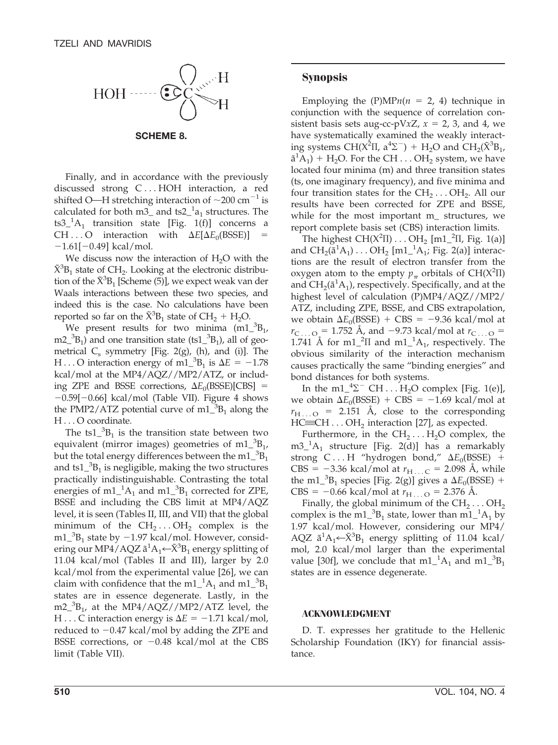

**SCHEME 8.**

Finally, and in accordance with the previously discussed strong C . . . HOH interaction, a red shifted O—H stretching interaction of  $\sim$ 200 cm<sup>-1</sup> is calculated for both  $m3$ <sup> $-$ </sup> and ts2<sup> $-1$ </sup>a<sub>1</sub> structures. The ts3 $^{-1}A_1$  transition state [Fig. 1(f)] concerns a CH...O interaction with  $\Delta E[\Delta E_0(BSSE)]$  =  $-1.61[-0.49]$  kcal/mol.

We discuss now the interaction of  $H_2O$  with the  $\tilde{X}^3B_1$  state of CH<sub>2</sub>. Looking at the electronic distribution of the  $\tilde{\chi}^3B_1$  [Scheme (5)], we expect weak van der Waals interactions between these two species, and indeed this is the case. No calculations have been reported so far on the  $\tilde{X}^3B_1$  state of  $CH_2 + H_2O$ .

We present results for two minima  $(m1_3 B_1)$  $m2_{}^{3}B_{1}$ ) and one transition state (ts $1_{}^{3}B_{1}$ ), all of geometrical  $C_s$  symmetry [Fig. 2(g), (h), and (i)]. The H...O interaction energy of  $m1_{3}^{3}B_{1}$  is  $\Delta E = -1.78$ kcal/mol at the MP4/AQZ//MP2/ATZ, or including ZPE and BSSE corrections,  $\Delta E_0(BSSE)[CBS]$  =  $-0.59[-0.66]$  kcal/mol (Table VII). Figure 4 shows the PMP2/ATZ potential curve of  $m1_{3}^{3}B_{1}$  along the H...O coordinate.

The ts $1_{-}^{3}B_{1}$  is the transition state between two equivalent (mirror images) geometries of  $m1_{1}^{3}B_{1}$ , but the total energy differences between the  $\text{m1}_{-}^{\text{3}}\text{B}_{1}$ and ts1 $^{3}B_1$  is negligible, making the two structures practically indistinguishable. Contrasting the total energies of  $m1_A^1A_1$  and  $m1_3B_1$  corrected for ZPE, BSSE and including the CBS limit at MP4/AQZ level, it is seen (Tables II, III, and VII) that the global minimum of the  $CH_2 \dots OH_2$  complex is the  $m1_{a}^{3}B_{1}$  state by  $-1.97$  kcal/mol. However, considering our MP4/AQZ  $\tilde{a}^1 A_1 \leftarrow \tilde{X}^3 B_1$  energy splitting of 11.04 kcal/mol (Tables II and III), larger by 2.0 kcal/mol from the experimental value [26], we can claim with confidence that the  $m1_{}^{1}A_1$  and  $m1_{}^{3}B_1$ states are in essence degenerate. Lastly, in the  $m2$ <sup>3</sup>B<sub>1</sub>, at the MP4/AQZ//MP2/ATZ level, the H...C interaction energy is  $\Delta E = -1.71$  kcal/mol, reduced to  $-0.47$  kcal/mol by adding the ZPE and BSSE corrections, or  $-0.48$  kcal/mol at the CBS limit (Table VII).

# **Synopsis**

Employing the  $(P)MPn(n = 2, 4)$  technique in conjunction with the sequence of correlation consistent basis sets aug-cc-pV $xZ$ ,  $x = 2$ , 3, and 4, we have systematically examined the weakly interacting systems CH( $X^2\Pi$ ,  $a^4\Sigma^-$ ) + H<sub>2</sub>O and CH<sub>2</sub>( $\tilde{X}^3B_1$ ,  $\tilde{a}^1A_1$ ) + H<sub>2</sub>O. For the CH . . . OH<sub>2</sub> system, we have located four minima (m) and three transition states (ts, one imaginary frequency), and five minima and four transition states for the  $CH_2 \dots OH_2$ . All our results have been corrected for ZPE and BSSE, while for the most important m\_ structures, we report complete basis set (CBS) interaction limits.

The highest  $CH(X^2\Pi) \dots OH_2$  [m1\_<sup>2</sup> $\Pi$ , Fig. 1(a)] and  $CH_2(\tilde{a}^1A_1) \ldots OH_2$  [m1\_<sup>1</sup>A<sub>1</sub>; Fig. 2(a)] interactions are the result of electron transfer from the oxygen atom to the empty  $p_{\pi}$  orbitals of CH(X<sup>2</sup>II) and  $CH_2(\tilde{a}^1A_1)$ , respectively. Specifically, and at the highest level of calculation (P)MP4/AQZ//MP2/ ATZ, including ZPE, BSSE, and CBS extrapolation, we obtain  $\Delta E_0(BSSE)$  + CBS = -9.36 kcal/mol at  $r_{\text{C}_{\text{C}}\text{O}} = 1.752$  Å, and -9.73 kcal/mol at  $r_{\text{C}_{\text{C}}\text{O}} =$ 1.741 Å for  $m1_2^2\Pi$  and  $m1_2^1A_1$ , respectively. The obvious similarity of the interaction mechanism causes practically the same "binding energies" and bond distances for both systems.

In the  $m1_{-}^{4}\Sigma^{-}$  CH . . . H<sub>2</sub>O complex [Fig. 1(e)], we obtain  $\Delta E_0(BSSE)$  + CBS = -1.69 kcal/mol at  $r_{\text{H} \dots \text{O}}$  = 2.151 Å, close to the corresponding  $HC = CH ... OH<sub>2</sub>$  interaction [27], as expected.

Furthermore, in the  $CH_2 \dots H_2O$  complex, the  $m3_1^1A_1$  structure [Fig. 2(d)] has a remarkably strong C...H "hydrogen bond,"  $\Delta E_0(BSSE)$  +  $CBS = -3.36$  kcal/mol at  $r_{H...C} = 2.098$  Å, while the m1<sup>3</sup>B<sub>1</sub> species [Fig. 2(g)] gives a  $\Delta E_0(\text{BSSE})$  +  $CBS = -0.66$  kcal/mol at  $r_{H\dots O} = 2.376$  Å.

Finally, the global minimum of the  $CH_2 \dots OH_2$ complex is the  $m1_{3}B_{1}$  state, lower than  $m1_{4}A_{1}$  by 1.97 kcal/mol. However, considering our MP4/ AQZ  $\tilde{a}^1A_1 \leftarrow \tilde{X}^3B_1$  energy splitting of 11.04 kcal/ mol, 2.0 kcal/mol larger than the experimental value [30f], we conclude that  $m1_A^1A_1$  and  $m1_3^3B_1$ states are in essence degenerate.

## **ACKNOWLEDGMENT**

D. T. expresses her gratitude to the Hellenic Scholarship Foundation (IKY) for financial assistance.